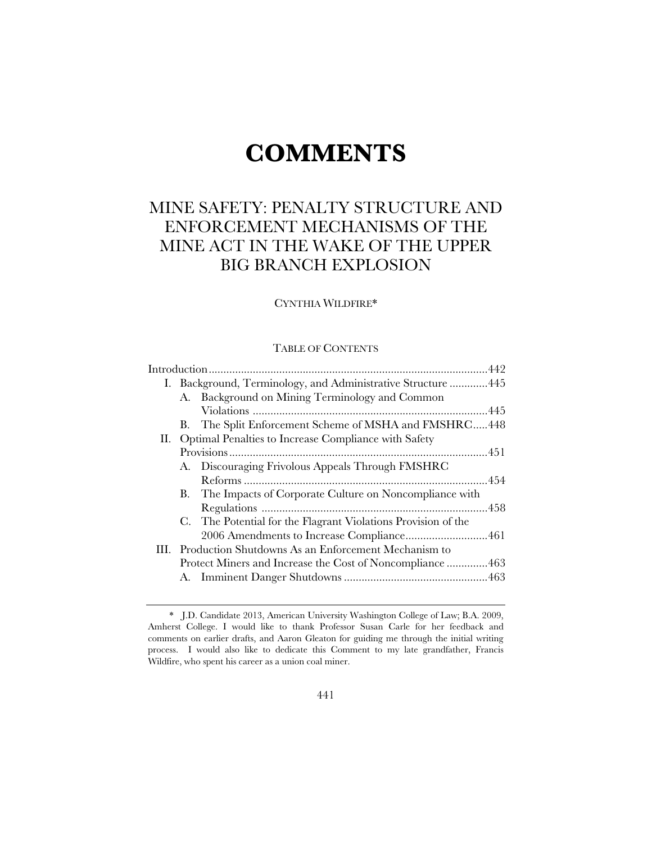# **COMMENTS**

# MINE SAFETY: PENALTY STRUCTURE AND ENFORCEMENT MECHANISMS OF THE MINE ACT IN THE WAKE OF THE UPPER BIG BRANCH EXPLOSION

# CYNTHIA WILDFIRE\*

# TABLE OF CONTENTS

| I. Background, Terminology, and Administrative Structure  445 |
|---------------------------------------------------------------|
| A. Background on Mining Terminology and Common                |
|                                                               |
| B. The Split Enforcement Scheme of MSHA and FMSHRC448         |
| II. Optimal Penalties to Increase Compliance with Safety      |
|                                                               |
| A. Discouraging Frivolous Appeals Through FMSHRC              |
|                                                               |
| B. The Impacts of Corporate Culture on Noncompliance with     |
|                                                               |
| C. The Potential for the Flagrant Violations Provision of the |
|                                                               |
| III. Production Shutdowns As an Enforcement Mechanism to      |
| Protect Miners and Increase the Cost of Noncompliance 463     |
|                                                               |
|                                                               |

 <sup>\*</sup> J.D. Candidate 2013, American University Washington College of Law; B.A. 2009, Amherst College. I would like to thank Professor Susan Carle for her feedback and comments on earlier drafts, and Aaron Gleaton for guiding me through the initial writing process. I would also like to dedicate this Comment to my late grandfather, Francis Wildfire, who spent his career as a union coal miner.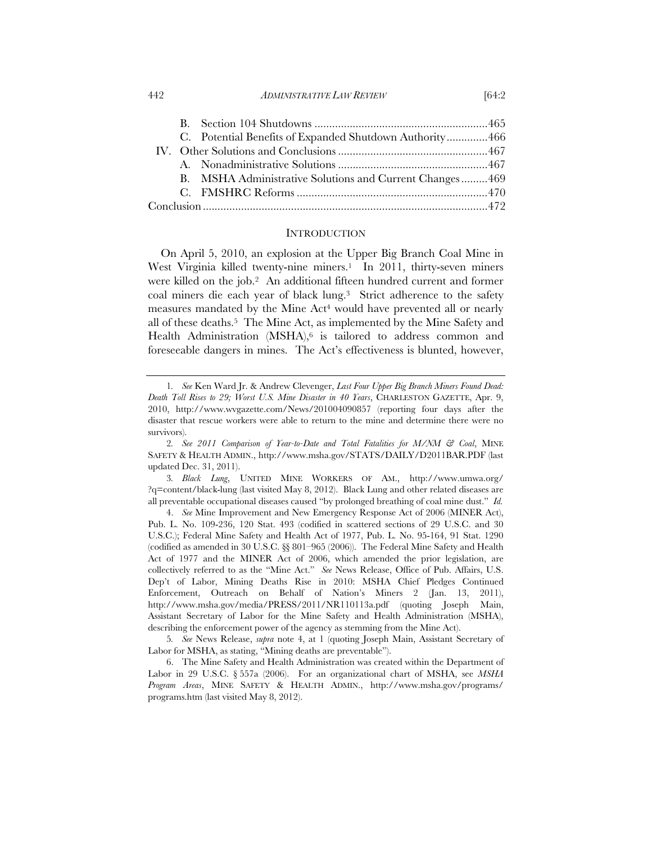| 442 | <i>ADMINISTRATIVE LAW REVIEW</i> | <b>64:2</b> |
|-----|----------------------------------|-------------|
|     |                                  |             |

|  | C. Potential Benefits of Expanded Shutdown Authority466 |  |
|--|---------------------------------------------------------|--|
|  |                                                         |  |
|  |                                                         |  |
|  | B. MSHA Administrative Solutions and Current Changes469 |  |
|  |                                                         |  |
|  |                                                         |  |

#### **INTRODUCTION**

On April 5, 2010, an explosion at the Upper Big Branch Coal Mine in West Virginia killed twenty-nine miners.<sup>1</sup> In 2011, thirty-seven miners were killed on the job.<sup>2</sup> An additional fifteen hundred current and former coal miners die each year of black lung.3 Strict adherence to the safety measures mandated by the Mine Act<sup>4</sup> would have prevented all or nearly all of these deaths.5 The Mine Act, as implemented by the Mine Safety and Health Administration  $(MSHA)$ <sup>6</sup> is tailored to address common and foreseeable dangers in mines. The Act's effectiveness is blunted, however,

<sup>1</sup>*. See* Ken Ward Jr. & Andrew Clevenger, *Last Four Upper Big Branch Miners Found Dead: Death Toll Rises to 29; Worst U.S. Mine Disaster in 40 Years*, CHARLESTON GAZETTE, Apr. 9, 2010, http://www.wvgazette.com/News/201004090857 (reporting four days after the disaster that rescue workers were able to return to the mine and determine there were no survivors).

<sup>2</sup>*. See 2011 Comparison of Year-to-Date and Total Fatalities for M/NM & Coal*, MINE SAFETY & HEALTH ADMIN., http://www.msha.gov/STATS/DAILY/D2011BAR.PDF (last updated Dec. 31, 2011).

<sup>3</sup>*. Black Lung*, UNITED MINE WORKERS OF AM., http://www.umwa.org/ ?q=content/black-lung (last visited May 8, 2012). Black Lung and other related diseases are all preventable occupational diseases caused "by prolonged breathing of coal mine dust." *Id.* 

 <sup>4.</sup> *See* Mine Improvement and New Emergency Response Act of 2006 (MINER Act), Pub. L. No. 109-236, 120 Stat. 493 (codified in scattered sections of 29 U.S.C. and 30 U.S.C.); Federal Mine Safety and Health Act of 1977, Pub. L. No. 95-164, 91 Stat. 1290 (codified as amended in 30 U.S.C. §§ 801–965 (2006)). The Federal Mine Safety and Health Act of 1977 and the MINER Act of 2006, which amended the prior legislation, are collectively referred to as the "Mine Act." *See* News Release, Office of Pub. Affairs, U.S. Dep't of Labor, Mining Deaths Rise in 2010: MSHA Chief Pledges Continued Enforcement, Outreach on Behalf of Nation's Miners 2 (Jan. 13, 2011), http://www.msha.gov/media/PRESS/2011/NR110113a.pdf (quoting Joseph Main, Assistant Secretary of Labor for the Mine Safety and Health Administration (MSHA), describing the enforcement power of the agency as stemming from the Mine Act).

<sup>5</sup>*. See* News Release, *supra* note 4, at 1 (quoting Joseph Main, Assistant Secretary of Labor for MSHA, as stating, "Mining deaths are preventable").

 <sup>6.</sup> The Mine Safety and Health Administration was created within the Department of Labor in 29 U.S.C. § 557a (2006). For an organizational chart of MSHA, see *MSHA Program Areas*, MINE SAFETY & HEALTH ADMIN., http://www.msha.gov/programs/ programs.htm (last visited May 8, 2012).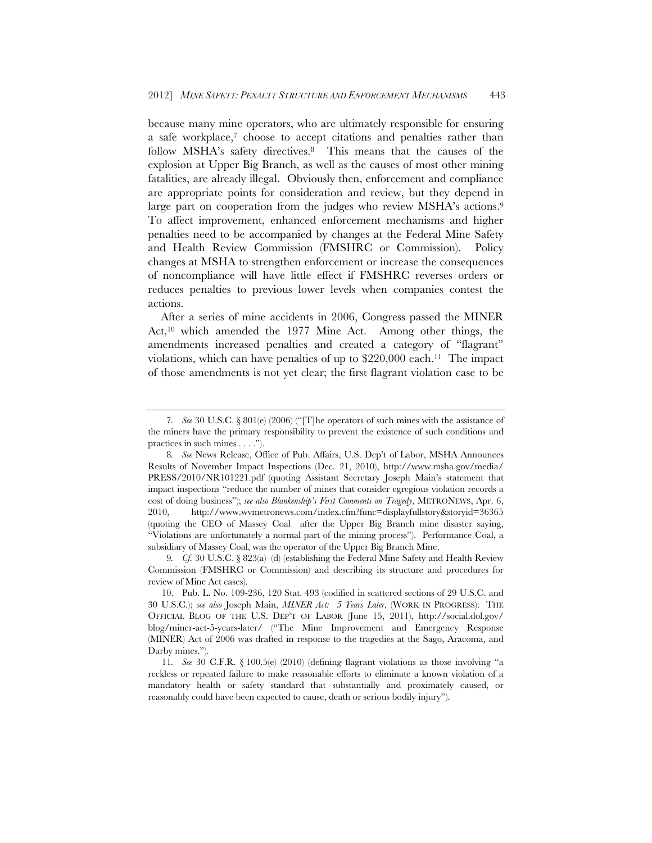because many mine operators, who are ultimately responsible for ensuring a safe workplace,7 choose to accept citations and penalties rather than follow MSHA's safety directives.8 This means that the causes of the explosion at Upper Big Branch, as well as the causes of most other mining fatalities, are already illegal. Obviously then, enforcement and compliance are appropriate points for consideration and review, but they depend in large part on cooperation from the judges who review MSHA's actions.<sup>9</sup> To affect improvement, enhanced enforcement mechanisms and higher penalties need to be accompanied by changes at the Federal Mine Safety and Health Review Commission (FMSHRC or Commission). Policy changes at MSHA to strengthen enforcement or increase the consequences of noncompliance will have little effect if FMSHRC reverses orders or reduces penalties to previous lower levels when companies contest the actions.

After a series of mine accidents in 2006, Congress passed the MINER Act,10 which amended the 1977 Mine Act. Among other things, the amendments increased penalties and created a category of "flagrant" violations, which can have penalties of up to  $$220,000$  each.<sup>11</sup> The impact of those amendments is not yet clear; the first flagrant violation case to be

<sup>7</sup>*. See* 30 U.S.C. § 801(e) (2006) ("[T]he operators of such mines with the assistance of the miners have the primary responsibility to prevent the existence of such conditions and practices in such mines . . . .").

<sup>8</sup>*. See* News Release, Office of Pub. Affairs, U.S. Dep't of Labor, MSHA Announces Results of November Impact Inspections (Dec. 21, 2010), http://www.msha.gov/media/ PRESS/2010/NR101221.pdf (quoting Assistant Secretary Joseph Main's statement that impact inspections "reduce the number of mines that consider egregious violation records a cost of doing business"); *see also Blankenship's First Comments on Tragedy*, METRONEWS, Apr. 6, 2010, http://www.wvmetronews.com/index.cfm?func=displayfullstory&storyid=36365 (quoting the CEO of Massey Coal after the Upper Big Branch mine disaster saying, "Violations are unfortunately a normal part of the mining process").Performance Coal, a subsidiary of Massey Coal, was the operator of the Upper Big Branch Mine.

<sup>9</sup>*. Cf.* 30 U.S.C. § 823(a)–(d) (establishing the Federal Mine Safety and Health Review Commission (FMSHRC or Commission) and describing its structure and procedures for review of Mine Act cases).

 <sup>10.</sup> Pub. L. No. 109-236, 120 Stat. 493 (codified in scattered sections of 29 U.S.C. and 30 U.S.C.); *see also* Joseph Main, *MINER Act: 5 Years Later*, (WORK IN PROGRESS): THE OFFICIAL BLOG OF THE U.S. DEP'T OF LABOR (June 15, 2011), http://social.dol.gov/ blog/miner-act-5-years-later/ ("The Mine Improvement and Emergency Response (MINER) Act of 2006 was drafted in response to the tragedies at the Sago, Aracoma, and Darby mines.").

<sup>11</sup>*. See* 30 C.F.R. § 100.5(e) (2010) (defining flagrant violations as those involving "a reckless or repeated failure to make reasonable efforts to eliminate a known violation of a mandatory health or safety standard that substantially and proximately caused, or reasonably could have been expected to cause, death or serious bodily injury").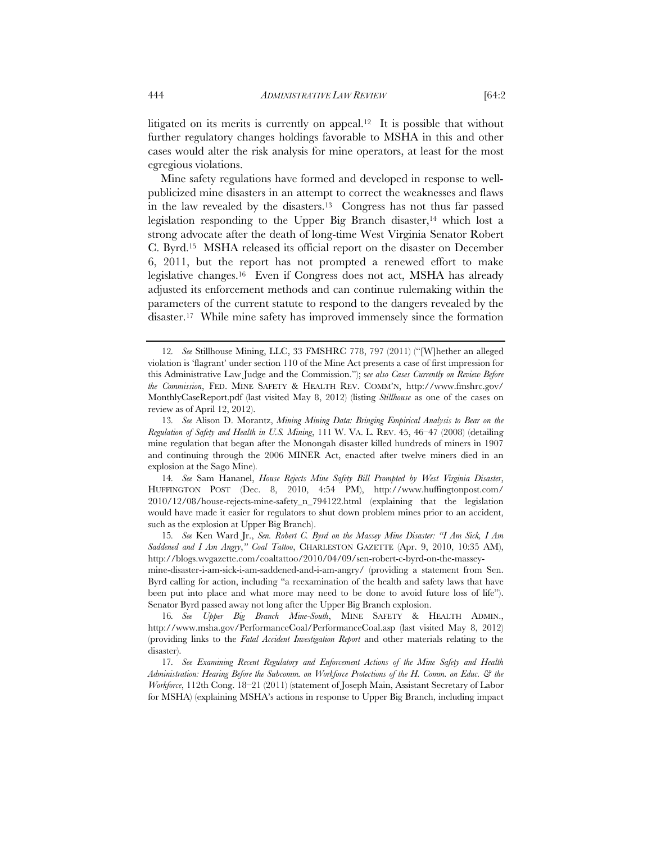litigated on its merits is currently on appeal.12 It is possible that without further regulatory changes holdings favorable to MSHA in this and other cases would alter the risk analysis for mine operators, at least for the most egregious violations.

Mine safety regulations have formed and developed in response to wellpublicized mine disasters in an attempt to correct the weaknesses and flaws in the law revealed by the disasters.13 Congress has not thus far passed legislation responding to the Upper Big Branch disaster,<sup>14</sup> which lost a strong advocate after the death of long-time West Virginia Senator Robert C. Byrd.15 MSHA released its official report on the disaster on December 6, 2011, but the report has not prompted a renewed effort to make legislative changes.16 Even if Congress does not act, MSHA has already adjusted its enforcement methods and can continue rulemaking within the parameters of the current statute to respond to the dangers revealed by the disaster.17 While mine safety has improved immensely since the formation

14*. See* Sam Hananel, *House Rejects Mine Safety Bill Prompted by West Virginia Disaster*, HUFFINGTON POST (Dec. 8, 2010, 4:54 PM), http://www.huffingtonpost.com/ 2010/12/08/house-rejects-mine-safety\_n\_794122.html (explaining that the legislation would have made it easier for regulators to shut down problem mines prior to an accident, such as the explosion at Upper Big Branch).

15*. See* Ken Ward Jr., *Sen. Robert C. Byrd on the Massey Mine Disaster: "I Am Sick, I Am Saddened and I Am Angry*,*" Coal Tattoo*, CHARLESTON GAZETTE (Apr. 9, 2010, 10:35 AM), http://blogs.wvgazette.com/coaltattoo/2010/04/09/sen-robert-c-byrd-on-the-massey-

mine-disaster-i-am-sick-i-am-saddened-and-i-am-angry/ (providing a statement from Sen. Byrd calling for action, including "a reexamination of the health and safety laws that have been put into place and what more may need to be done to avoid future loss of life"). Senator Byrd passed away not long after the Upper Big Branch explosion.

16*. See Upper Big Branch Mine-South*, MINE SAFETY & HEALTH ADMIN., http://www.msha.gov/PerformanceCoal/PerformanceCoal.asp (last visited May 8, 2012) (providing links to the *Fatal Accident Investigation Report* and other materials relating to the disaster).

17*. See Examining Recent Regulatory and Enforcement Actions of the Mine Safety and Health Administration: Hearing Before the Subcomm. on Workforce Protections of the H. Comm. on Educ. & the Workforce*, 112th Cong. 18–21 (2011) (statement of Joseph Main, Assistant Secretary of Labor for MSHA) (explaining MSHA's actions in response to Upper Big Branch, including impact

<sup>12</sup>*. See* Stillhouse Mining, LLC, 33 FMSHRC 778, 797 (2011) ("[W]hether an alleged violation is 'flagrant' under section 110 of the Mine Act presents a case of first impression for this Administrative Law Judge and the Commission."); s*ee also Cases Currently on Review Before the Commission*, FED. MINE SAFETY & HEALTH REV. COMM'N, http://www.fmshrc.gov/ MonthlyCaseReport.pdf (last visited May 8, 2012) (listing *Stillhouse* as one of the cases on review as of April 12, 2012).

<sup>13</sup>*. See* Alison D. Morantz, *Mining Mining Data: Bringing Empirical Analysis to Bear on the Regulation of Safety and Health in U.S. Mining*, 111 W. VA. L. REV. 45, 46–47 (2008) (detailing mine regulation that began after the Monongah disaster killed hundreds of miners in 1907 and continuing through the 2006 MINER Act, enacted after twelve miners died in an explosion at the Sago Mine).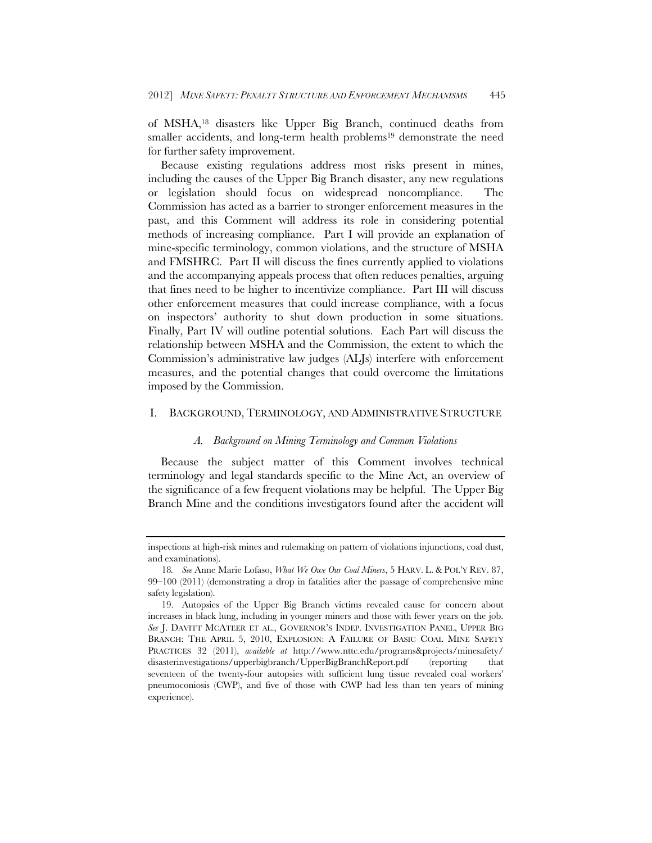of MSHA,18 disasters like Upper Big Branch, continued deaths from smaller accidents, and long-term health problems<sup>19</sup> demonstrate the need for further safety improvement.

Because existing regulations address most risks present in mines, including the causes of the Upper Big Branch disaster, any new regulations or legislation should focus on widespread noncompliance. The Commission has acted as a barrier to stronger enforcement measures in the past, and this Comment will address its role in considering potential methods of increasing compliance. Part I will provide an explanation of mine-specific terminology, common violations, and the structure of MSHA and FMSHRC. Part II will discuss the fines currently applied to violations and the accompanying appeals process that often reduces penalties, arguing that fines need to be higher to incentivize compliance. Part III will discuss other enforcement measures that could increase compliance, with a focus on inspectors' authority to shut down production in some situations. Finally, Part IV will outline potential solutions. Each Part will discuss the relationship between MSHA and the Commission, the extent to which the Commission's administrative law judges (ALJs) interfere with enforcement measures, and the potential changes that could overcome the limitations imposed by the Commission.

# I. BACKGROUND, TERMINOLOGY, AND ADMINISTRATIVE STRUCTURE

# *A. Background on Mining Terminology and Common Violations*

Because the subject matter of this Comment involves technical terminology and legal standards specific to the Mine Act, an overview of the significance of a few frequent violations may be helpful. The Upper Big Branch Mine and the conditions investigators found after the accident will

inspections at high-risk mines and rulemaking on pattern of violations injunctions, coal dust, and examinations).

<sup>18</sup>*. See* Anne Marie Lofaso, *What We Owe Our Coal Miners*, 5 HARV. L. & POL'Y REV. 87, 99–100 (2011) (demonstrating a drop in fatalities after the passage of comprehensive mine safety legislation).

 <sup>19.</sup> Autopsies of the Upper Big Branch victims revealed cause for concern about increases in black lung, including in younger miners and those with fewer years on the job. *See* J. DAVITT MCATEER ET AL., GOVERNOR'S INDEP. INVESTIGATION PANEL, UPPER BIG BRANCH: THE APRIL 5, 2010, EXPLOSION: A FAILURE OF BASIC COAL MINE SAFETY PRACTICES 32 (2011), *available at* http://www.nttc.edu/programs&projects/minesafety/ disasterinvestigations/upperbigbranch/UpperBigBranchReport.pdf (reporting that seventeen of the twenty-four autopsies with sufficient lung tissue revealed coal workers' pneumoconiosis (CWP), and five of those with CWP had less than ten years of mining experience).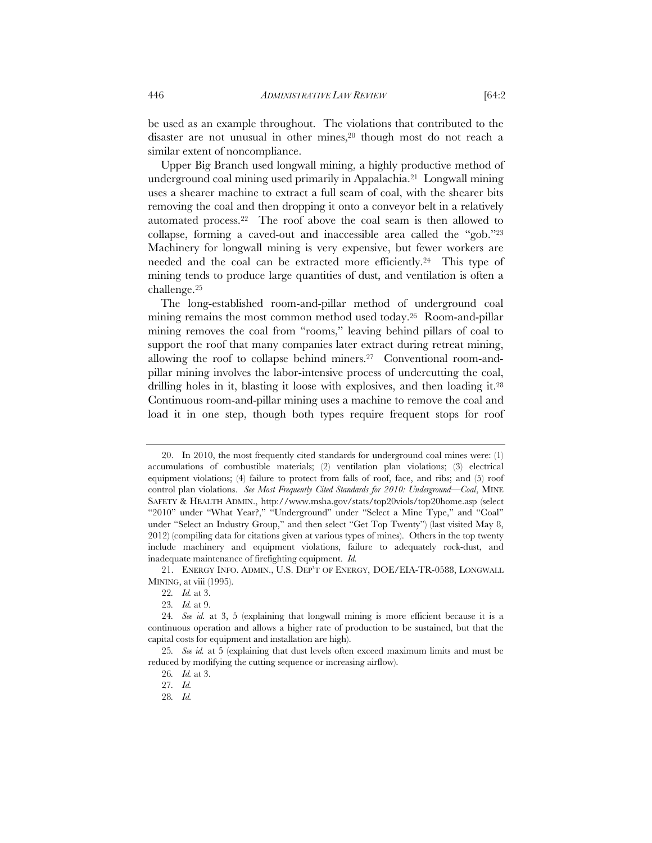be used as an example throughout. The violations that contributed to the disaster are not unusual in other mines,20 though most do not reach a similar extent of noncompliance.

Upper Big Branch used longwall mining, a highly productive method of underground coal mining used primarily in Appalachia.21 Longwall mining uses a shearer machine to extract a full seam of coal, with the shearer bits removing the coal and then dropping it onto a conveyor belt in a relatively automated process.22 The roof above the coal seam is then allowed to collapse, forming a caved-out and inaccessible area called the "gob."23 Machinery for longwall mining is very expensive, but fewer workers are needed and the coal can be extracted more efficiently.<sup>24</sup> This type of mining tends to produce large quantities of dust, and ventilation is often a challenge.25

The long-established room-and-pillar method of underground coal mining remains the most common method used today.26 Room-and-pillar mining removes the coal from "rooms," leaving behind pillars of coal to support the roof that many companies later extract during retreat mining, allowing the roof to collapse behind miners.27 Conventional room-andpillar mining involves the labor-intensive process of undercutting the coal, drilling holes in it, blasting it loose with explosives, and then loading it.28 Continuous room-and-pillar mining uses a machine to remove the coal and load it in one step, though both types require frequent stops for roof

 <sup>20.</sup> In 2010, the most frequently cited standards for underground coal mines were: (1) accumulations of combustible materials; (2) ventilation plan violations; (3) electrical equipment violations; (4) failure to protect from falls of roof, face, and ribs; and (5) roof control plan violations. *See Most Frequently Cited Standards for 2010: Underground—Coal*, MINE SAFETY & HEALTH ADMIN., http://www.msha.gov/stats/top20viols/top20home.asp (select "2010" under "What Year?," "Underground" under "Select a Mine Type," and "Coal" under "Select an Industry Group," and then select "Get Top Twenty") (last visited May 8, 2012) (compiling data for citations given at various types of mines). Others in the top twenty include machinery and equipment violations, failure to adequately rock-dust, and inadequate maintenance of firefighting equipment. *Id.*

 <sup>21.</sup> ENERGY INFO. ADMIN., U.S. DEP'T OF ENERGY, DOE/EIA-TR-0588, LONGWALL MINING, at viii (1995).

<sup>22</sup>*. Id.* at 3.

<sup>23</sup>*. Id.* at 9.

<sup>24</sup>*. See id.* at 3, 5 (explaining that longwall mining is more efficient because it is a continuous operation and allows a higher rate of production to be sustained, but that the capital costs for equipment and installation are high).

<sup>25</sup>*. See id.* at 5 (explaining that dust levels often exceed maximum limits and must be reduced by modifying the cutting sequence or increasing airflow).

<sup>26</sup>*. Id.* at 3.

<sup>27</sup>*. Id.*

<sup>28</sup>*. Id.*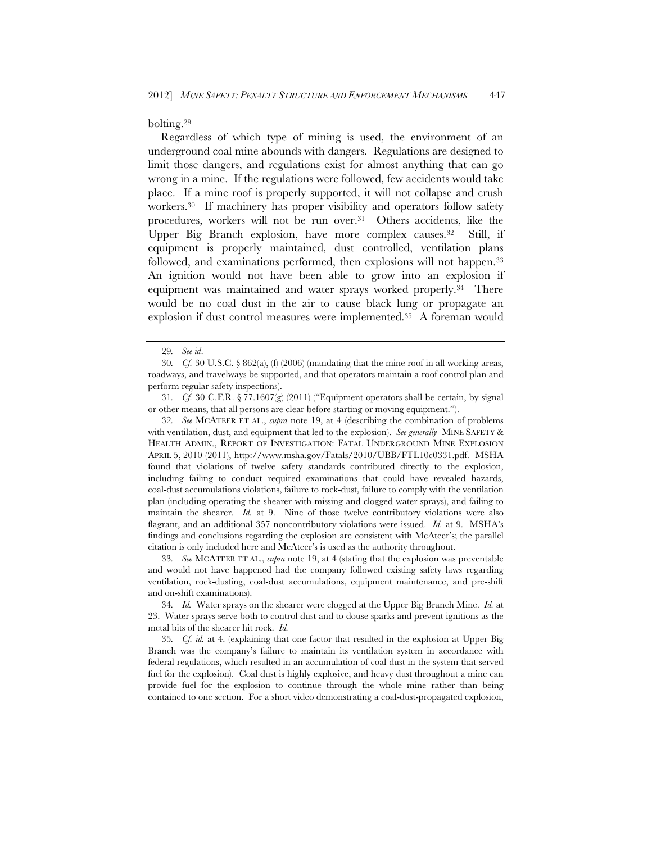bolting.29

Regardless of which type of mining is used, the environment of an underground coal mine abounds with dangers. Regulations are designed to limit those dangers, and regulations exist for almost anything that can go wrong in a mine. If the regulations were followed, few accidents would take place. If a mine roof is properly supported, it will not collapse and crush workers.30 If machinery has proper visibility and operators follow safety procedures, workers will not be run over.<sup>31</sup> Others accidents, like the Upper Big Branch explosion, have more complex causes.32 Still, if equipment is properly maintained, dust controlled, ventilation plans followed, and examinations performed, then explosions will not happen.<sup>33</sup> An ignition would not have been able to grow into an explosion if equipment was maintained and water sprays worked properly.34 There would be no coal dust in the air to cause black lung or propagate an explosion if dust control measures were implemented.35 A foreman would

32*. See* MCATEER ET AL., *supra* note 19, at 4 (describing the combination of problems with ventilation, dust, and equipment that led to the explosion). *See generally* MINE SAFETY & HEALTH ADMIN., REPORT OF INVESTIGATION: FATAL UNDERGROUND MINE EXPLOSION APRIL 5, 2010 (2011), http://www.msha.gov/Fatals/2010/UBB/FTL10c0331.pdf. MSHA found that violations of twelve safety standards contributed directly to the explosion, including failing to conduct required examinations that could have revealed hazards, coal-dust accumulations violations, failure to rock-dust, failure to comply with the ventilation plan (including operating the shearer with missing and clogged water sprays), and failing to maintain the shearer. *Id.* at 9. Nine of those twelve contributory violations were also flagrant, and an additional 357 noncontributory violations were issued. *Id.* at 9. MSHA's findings and conclusions regarding the explosion are consistent with McAteer's; the parallel citation is only included here and McAteer's is used as the authority throughout.

33*. See* MCATEER ET AL., *supra* note 19, at 4 (stating that the explosion was preventable and would not have happened had the company followed existing safety laws regarding ventilation, rock-dusting, coal-dust accumulations, equipment maintenance, and pre-shift and on-shift examinations).

34*. Id.* Water sprays on the shearer were clogged at the Upper Big Branch Mine. *Id.* at 23. Water sprays serve both to control dust and to douse sparks and prevent ignitions as the metal bits of the shearer hit rock. *Id.*

35*. Cf. id.* at 4. (explaining that one factor that resulted in the explosion at Upper Big Branch was the company's failure to maintain its ventilation system in accordance with federal regulations, which resulted in an accumulation of coal dust in the system that served fuel for the explosion). Coal dust is highly explosive, and heavy dust throughout a mine can provide fuel for the explosion to continue through the whole mine rather than being contained to one section. For a short video demonstrating a coal-dust-propagated explosion,

<sup>29</sup>*. See id*.

<sup>30</sup>*. Cf.* 30 U.S.C. § 862(a), (f) (2006) (mandating that the mine roof in all working areas, roadways, and travelways be supported, and that operators maintain a roof control plan and perform regular safety inspections).

<sup>31</sup>*. Cf.* 30 C.F.R. § 77.1607(g) (2011) ("Equipment operators shall be certain, by signal or other means, that all persons are clear before starting or moving equipment.").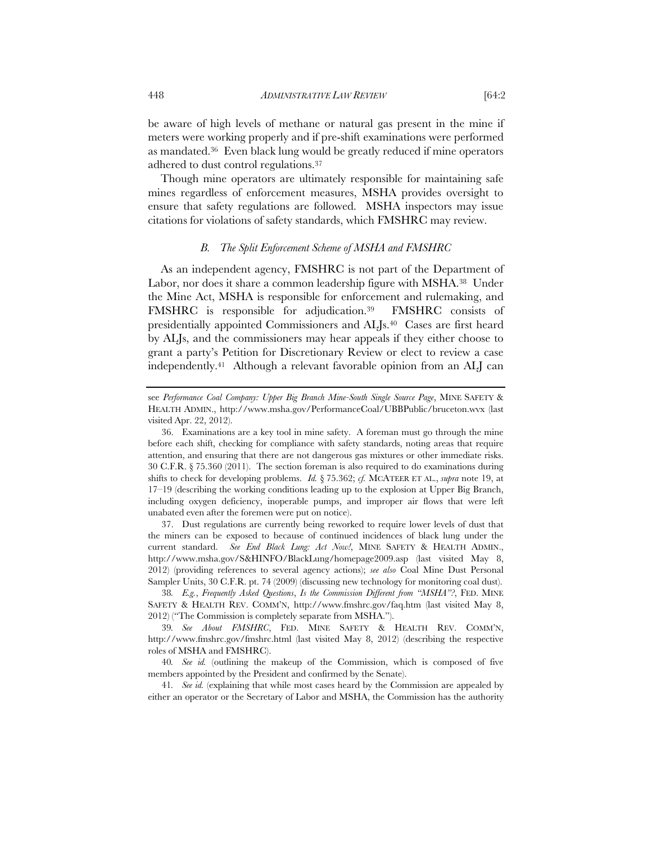be aware of high levels of methane or natural gas present in the mine if meters were working properly and if pre-shift examinations were performed as mandated.36 Even black lung would be greatly reduced if mine operators adhered to dust control regulations.37

Though mine operators are ultimately responsible for maintaining safe mines regardless of enforcement measures, MSHA provides oversight to ensure that safety regulations are followed. MSHA inspectors may issue citations for violations of safety standards, which FMSHRC may review.

# *B. The Split Enforcement Scheme of MSHA and FMSHRC*

As an independent agency, FMSHRC is not part of the Department of Labor, nor does it share a common leadership figure with MSHA.<sup>38</sup> Under the Mine Act, MSHA is responsible for enforcement and rulemaking, and FMSHRC is responsible for adjudication.39 FMSHRC consists of presidentially appointed Commissioners and ALJs.40 Cases are first heard by ALJs, and the commissioners may hear appeals if they either choose to grant a party's Petition for Discretionary Review or elect to review a case independently.41 Although a relevant favorable opinion from an ALJ can

 37. Dust regulations are currently being reworked to require lower levels of dust that the miners can be exposed to because of continued incidences of black lung under the current standard. *See End Black Lung: Act Now!*, MINE SAFETY & HEALTH ADMIN., http://www.msha.gov/S&HINFO/BlackLung/homepage2009.asp (last visited May 8, 2012) (providing references to several agency actions); *see also* Coal Mine Dust Personal Sampler Units, 30 C.F.R. pt. 74 (2009) (discussing new technology for monitoring coal dust).

see *Performance Coal Company: Upper Big Branch Mine-South Single Source Page*, MINE SAFETY & HEALTH ADMIN., http://www.msha.gov/PerformanceCoal/UBBPublic/bruceton.wvx (last visited Apr. 22, 2012).

 <sup>36.</sup> Examinations are a key tool in mine safety. A foreman must go through the mine before each shift, checking for compliance with safety standards, noting areas that require attention, and ensuring that there are not dangerous gas mixtures or other immediate risks. 30 C.F.R. § 75.360 (2011). The section foreman is also required to do examinations during shifts to check for developing problems. *Id.* § 75.362; *cf.* MCATEER ET AL., *supra* note 19, at 17–19 (describing the working conditions leading up to the explosion at Upper Big Branch, including oxygen deficiency, inoperable pumps, and improper air flows that were left unabated even after the foremen were put on notice).

<sup>38</sup>*. E.g.*, *Frequently Asked Questions*, *Is the Commission Different from "MSHA"?*, FED. MINE SAFETY & HEALTH REV. COMM'N, http://www.fmshrc.gov/faq.htm (last visited May 8, 2012) ("The Commission is completely separate from MSHA.").

<sup>39</sup>*. See About FMSHRC*, FED. MINE SAFETY & HEALTH REV. COMM'N, http://www.fmshrc.gov/fmshrc.html (last visited May 8, 2012) (describing the respective roles of MSHA and FMSHRC).

<sup>40</sup>*. See id.* (outlining the makeup of the Commission, which is composed of five members appointed by the President and confirmed by the Senate).

<sup>41</sup>*. See id.* (explaining that while most cases heard by the Commission are appealed by either an operator or the Secretary of Labor and MSHA, the Commission has the authority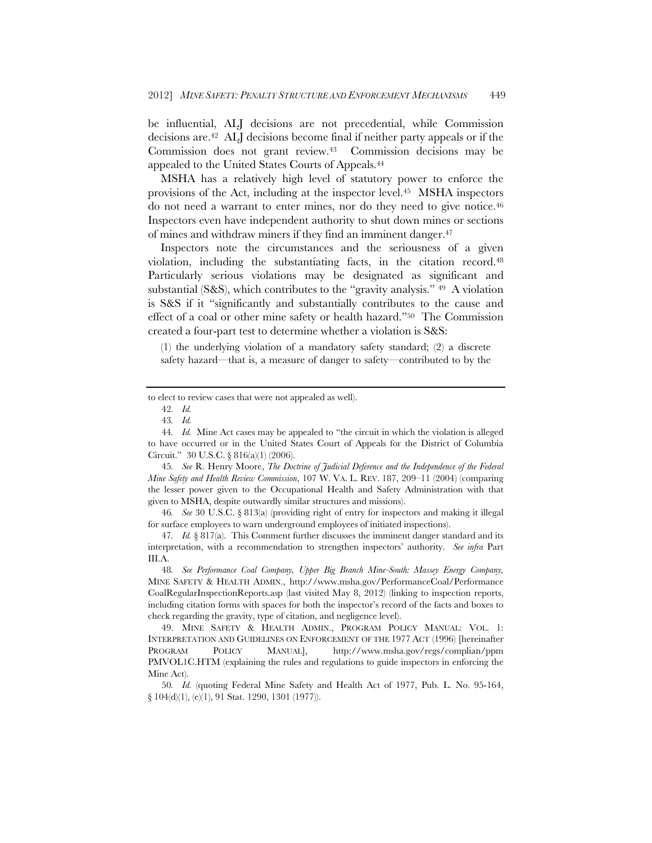be influential, ALJ decisions are not precedential, while Commission decisions are.42 ALJ decisions become final if neither party appeals or if the Commission does not grant review.43 Commission decisions may be appealed to the United States Courts of Appeals.44

MSHA has a relatively high level of statutory power to enforce the provisions of the Act, including at the inspector level.45 MSHA inspectors do not need a warrant to enter mines, nor do they need to give notice.46 Inspectors even have independent authority to shut down mines or sections of mines and withdraw miners if they find an imminent danger.47

Inspectors note the circumstances and the seriousness of a given violation, including the substantiating facts, in the citation record.48 Particularly serious violations may be designated as significant and substantial (S&S), which contributes to the "gravity analysis." 49 A violation is S&S if it "significantly and substantially contributes to the cause and effect of a coal or other mine safety or health hazard."50 The Commission created a four-part test to determine whether a violation is S&S:

(1) the underlying violation of a mandatory safety standard; (2) a discrete safety hazard—that is, a measure of danger to safety—contributed to by the

45*. See* R. Henry Moore, *The Doctrine of Judicial Deference and the Independence of the Federal Mine Safety and Health Review Commission*, 107 W. VA. L. REV. 187, 209–11 (2004) (comparing the lesser power given to the Occupational Health and Safety Administration with that given to MSHA, despite outwardly similar structures and missions).

46*. See* 30 U.S.C. § 813(a) (providing right of entry for inspectors and making it illegal for surface employees to warn underground employees of initiated inspections).

47*. Id.* § 817(a). This Comment further discusses the imminent danger standard and its interpretation, with a recommendation to strengthen inspectors' authority. *See infra* Part III.A.

to elect to review cases that were not appealed as well).

<sup>42</sup>*. Id.*

<sup>43</sup>*. Id.*

<sup>44</sup>*. Id.* Mine Act cases may be appealed to "the circuit in which the violation is alleged to have occurred or in the United States Court of Appeals for the District of Columbia Circuit." 30 U.S.C. § 816(a)(1) (2006).

<sup>48</sup>*. See Performance Coal Company, Upper Big Branch Mine-South: Massey Energy Company,*  MINE SAFETY & HEALTH ADMIN., http://www.msha.gov/PerformanceCoal/Performance CoalRegularInspectionReports.asp (last visited May 8, 2012) (linking to inspection reports, including citation forms with spaces for both the inspector's record of the facts and boxes to check regarding the gravity, type of citation, and negligence level).

 <sup>49.</sup> MINE SAFETY & HEALTH ADMIN., PROGRAM POLICY MANUAL: VOL. 1: INTERPRETATION AND GUIDELINES ON ENFORCEMENT OF THE 1977 ACT (1996) [hereinafter PROGRAM POLICY MANUAL], http://www.msha.gov/regs/complian/ppm PMVOL1C.HTM (explaining the rules and regulations to guide inspectors in enforcing the Mine Act).

<sup>50</sup>*. Id.* (quoting Federal Mine Safety and Health Act of 1977, Pub. L. No. 95-164, § 104(d)(1), (e)(1), 91 Stat. 1290, 1301 (1977)).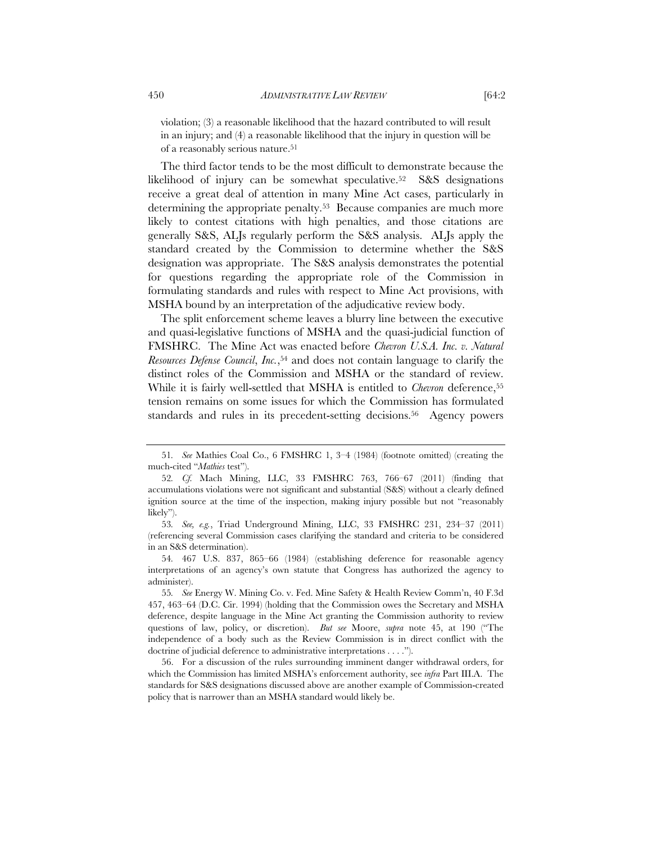violation; (3) a reasonable likelihood that the hazard contributed to will result in an injury; and (4) a reasonable likelihood that the injury in question will be of a reasonably serious nature.51

The third factor tends to be the most difficult to demonstrate because the likelihood of injury can be somewhat speculative.52 S&S designations receive a great deal of attention in many Mine Act cases, particularly in determining the appropriate penalty.<sup>53</sup> Because companies are much more likely to contest citations with high penalties, and those citations are generally S&S, ALJs regularly perform the S&S analysis. ALJs apply the standard created by the Commission to determine whether the S&S designation was appropriate. The S&S analysis demonstrates the potential for questions regarding the appropriate role of the Commission in formulating standards and rules with respect to Mine Act provisions, with MSHA bound by an interpretation of the adjudicative review body.

The split enforcement scheme leaves a blurry line between the executive and quasi-legislative functions of MSHA and the quasi-judicial function of FMSHRC. The Mine Act was enacted before *Chevron U.S.A. Inc. v. Natural Resources Defense Council*, *Inc.*,54 and does not contain language to clarify the distinct roles of the Commission and MSHA or the standard of review. While it is fairly well-settled that MSHA is entitled to *Chevron* deference,<sup>55</sup> tension remains on some issues for which the Commission has formulated standards and rules in its precedent-setting decisions.<sup>56</sup> Agency powers

<sup>51</sup>*. See* Mathies Coal Co., 6 FMSHRC 1, 3–4 (1984) (footnote omitted) (creating the much-cited "*Mathies* test").

<sup>52</sup>*. Cf.* Mach Mining, LLC, 33 FMSHRC 763, 766–67 (2011) (finding that accumulations violations were not significant and substantial (S&S) without a clearly defined ignition source at the time of the inspection, making injury possible but not "reasonably likely").

<sup>53</sup>*. See, e.g.*, Triad Underground Mining, LLC, 33 FMSHRC 231, 234–37 (2011) (referencing several Commission cases clarifying the standard and criteria to be considered in an S&S determination).

<sup>54</sup>*.* 467 U.S. 837, 865–66 (1984) (establishing deference for reasonable agency interpretations of an agency's own statute that Congress has authorized the agency to administer).

<sup>55</sup>*. See* Energy W. Mining Co. v. Fed. Mine Safety & Health Review Comm'n, 40 F.3d 457, 463–64 (D.C. Cir. 1994) (holding that the Commission owes the Secretary and MSHA deference, despite language in the Mine Act granting the Commission authority to review questions of law, policy, or discretion). *But see* Moore, *supra* note 45, at 190 ("The independence of a body such as the Review Commission is in direct conflict with the doctrine of judicial deference to administrative interpretations . . . .").

 <sup>56.</sup> For a discussion of the rules surrounding imminent danger withdrawal orders, for which the Commission has limited MSHA's enforcement authority, see *infra* Part III.A. The standards for S&S designations discussed above are another example of Commission-created policy that is narrower than an MSHA standard would likely be.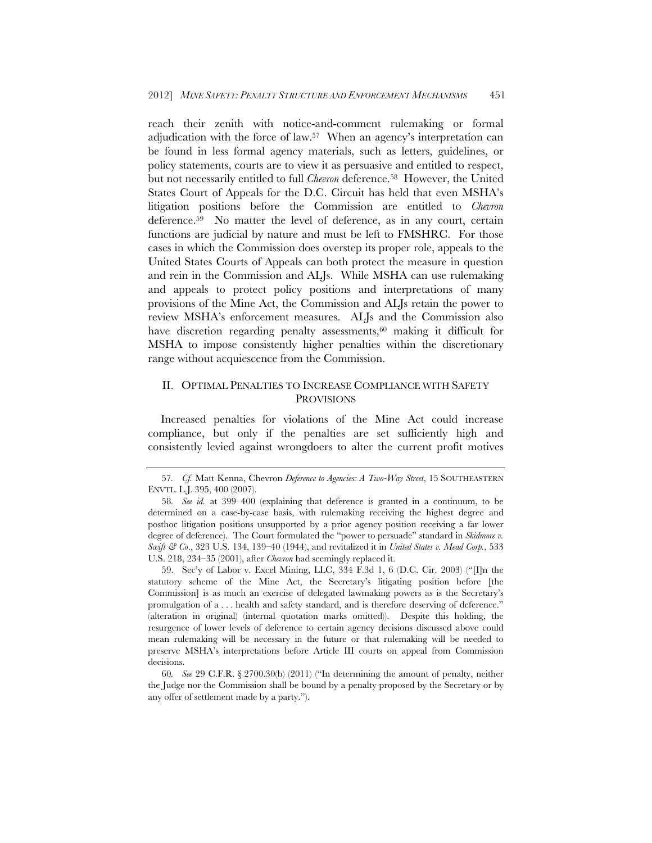reach their zenith with notice-and-comment rulemaking or formal adjudication with the force of law.57 When an agency's interpretation can be found in less formal agency materials, such as letters, guidelines, or policy statements, courts are to view it as persuasive and entitled to respect, but not necessarily entitled to full *Chevron* deference.58 However, the United States Court of Appeals for the D.C. Circuit has held that even MSHA's litigation positions before the Commission are entitled to *Chevron* deference.59 No matter the level of deference, as in any court, certain functions are judicial by nature and must be left to FMSHRC. For those cases in which the Commission does overstep its proper role, appeals to the United States Courts of Appeals can both protect the measure in question and rein in the Commission and ALJs. While MSHA can use rulemaking and appeals to protect policy positions and interpretations of many provisions of the Mine Act, the Commission and ALJs retain the power to review MSHA's enforcement measures. ALJs and the Commission also have discretion regarding penalty assessments,<sup>60</sup> making it difficult for MSHA to impose consistently higher penalties within the discretionary range without acquiescence from the Commission.

# II. OPTIMAL PENALTIES TO INCREASE COMPLIANCE WITH SAFETY PROVISIONS

Increased penalties for violations of the Mine Act could increase compliance, but only if the penalties are set sufficiently high and consistently levied against wrongdoers to alter the current profit motives

 59. Sec'y of Labor v. Excel Mining, LLC, 334 F.3d 1, 6 (D.C. Cir. 2003) ("[I]n the statutory scheme of the Mine Act, the Secretary's litigating position before [the Commission] is as much an exercise of delegated lawmaking powers as is the Secretary's promulgation of a . . . health and safety standard, and is therefore deserving of deference." (alteration in original) (internal quotation marks omitted)). Despite this holding, the resurgence of lower levels of deference to certain agency decisions discussed above could mean rulemaking will be necessary in the future or that rulemaking will be needed to preserve MSHA's interpretations before Article III courts on appeal from Commission decisions.

60*. See* 29 C.F.R. § 2700.30(b) (2011) ("In determining the amount of penalty, neither the Judge nor the Commission shall be bound by a penalty proposed by the Secretary or by any offer of settlement made by a party.").

<sup>57</sup>*. Cf.* Matt Kenna, Chevron *Deference to Agencies: A Two-Way Street*, 15 SOUTHEASTERN ENVTL. L.J. 395, 400 (2007).

<sup>58</sup>*. See id.* at 399–400 (explaining that deference is granted in a continuum, to be determined on a case-by-case basis, with rulemaking receiving the highest degree and posthoc litigation positions unsupported by a prior agency position receiving a far lower degree of deference). The Court formulated the "power to persuade" standard in *Skidmore v. Swift & Co*., 323 U.S. 134, 139–40 (1944), and revitalized it in *United States v. Mead Corp.*, 533 U.S. 218, 234–35 (2001), after *Chevron* had seemingly replaced it.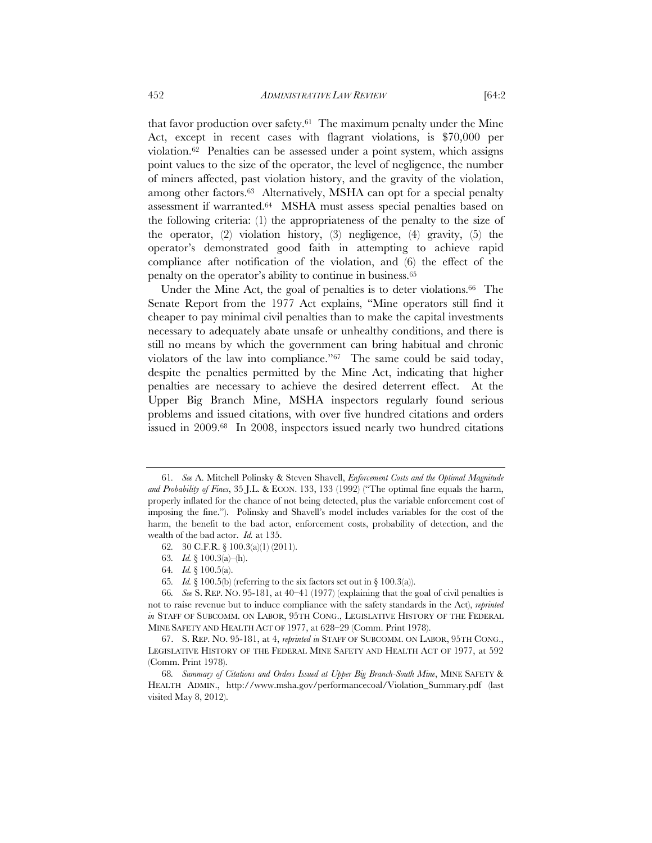that favor production over safety.61 The maximum penalty under the Mine Act, except in recent cases with flagrant violations, is \$70,000 per violation.62 Penalties can be assessed under a point system, which assigns point values to the size of the operator, the level of negligence, the number of miners affected, past violation history, and the gravity of the violation, among other factors.<sup>63</sup> Alternatively, MSHA can opt for a special penalty assessment if warranted.64 MSHA must assess special penalties based on the following criteria: (1) the appropriateness of the penalty to the size of the operator, (2) violation history, (3) negligence, (4) gravity, (5) the operator's demonstrated good faith in attempting to achieve rapid compliance after notification of the violation, and (6) the effect of the penalty on the operator's ability to continue in business.65

Under the Mine Act, the goal of penalties is to deter violations.<sup>66</sup> The Senate Report from the 1977 Act explains, "Mine operators still find it cheaper to pay minimal civil penalties than to make the capital investments necessary to adequately abate unsafe or unhealthy conditions, and there is still no means by which the government can bring habitual and chronic violators of the law into compliance."67 The same could be said today, despite the penalties permitted by the Mine Act, indicating that higher penalties are necessary to achieve the desired deterrent effect. At the Upper Big Branch Mine, MSHA inspectors regularly found serious problems and issued citations, with over five hundred citations and orders issued in 2009.68 In 2008, inspectors issued nearly two hundred citations

<sup>61</sup>*. See* A. Mitchell Polinsky & Steven Shavell, *Enforcement Costs and the Optimal Magnitude and Probability of Fines*, 35 J.L. & ECON. 133, 133 (1992) ("The optimal fine equals the harm, properly inflated for the chance of not being detected, plus the variable enforcement cost of imposing the fine."). Polinsky and Shavell's model includes variables for the cost of the harm, the benefit to the bad actor, enforcement costs, probability of detection, and the wealth of the bad actor. *Id.* at 135.

<sup>62</sup>*.* 30 C.F.R. § 100.3(a)(1) (2011).

<sup>63</sup>*. Id.* § 100.3(a)–(h).

<sup>64</sup>*. Id.* § 100.5(a).

<sup>65</sup>*. Id.* § 100.5(b) (referring to the six factors set out in § 100.3(a)).

<sup>66</sup>*. See* S. REP. NO. 95-181, at 40–41 (1977) (explaining that the goal of civil penalties is not to raise revenue but to induce compliance with the safety standards in the Act), *reprinted in* STAFF OF SUBCOMM. ON LABOR, 95TH CONG., LEGISLATIVE HISTORY OF THE FEDERAL MINE SAFETY AND HEALTH ACT OF 1977, at 628–29 (Comm. Print 1978).

 <sup>67.</sup> S. REP. NO. 95-181, at 4, *reprinted in* STAFF OF SUBCOMM. ON LABOR, 95TH CONG., LEGISLATIVE HISTORY OF THE FEDERAL MINE SAFETY AND HEALTH ACT OF 1977, at 592 (Comm. Print 1978).

<sup>68</sup>*. Summary of Citations and Orders Issued at Upper Big Branch-South Mine*, MINE SAFETY & HEALTH ADMIN., http://www.msha.gov/performancecoal/Violation\_Summary.pdf (last visited May 8, 2012).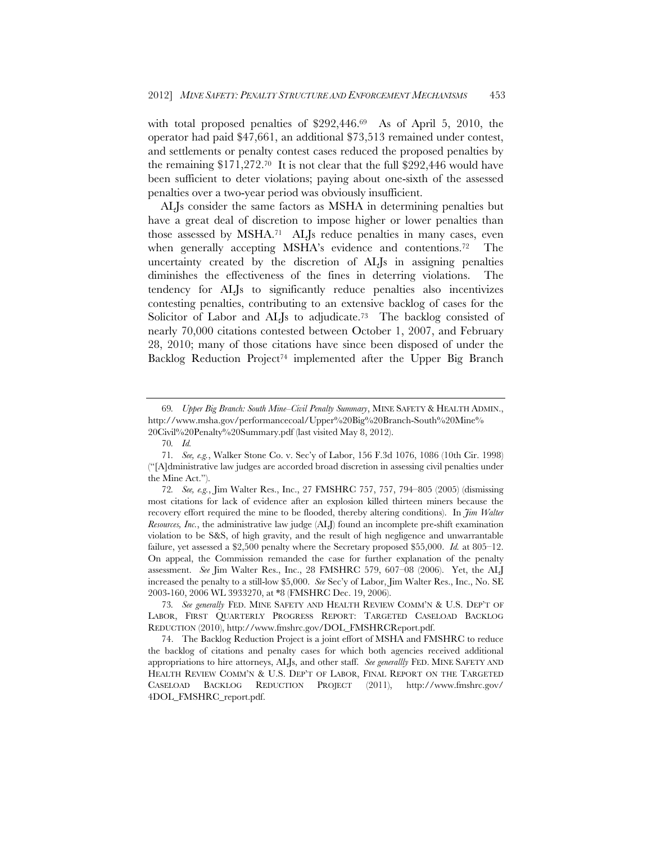with total proposed penalties of \$292,446.<sup>69</sup> As of April 5, 2010, the operator had paid \$47,661, an additional \$73,513 remained under contest, and settlements or penalty contest cases reduced the proposed penalties by the remaining  $$171,272.70$  It is not clear that the full  $$292,446$  would have been sufficient to deter violations; paying about one-sixth of the assessed penalties over a two-year period was obviously insufficient.

ALJs consider the same factors as MSHA in determining penalties but have a great deal of discretion to impose higher or lower penalties than those assessed by MSHA.71 ALJs reduce penalties in many cases, even when generally accepting MSHA's evidence and contentions.<sup>72</sup> The uncertainty created by the discretion of ALJs in assigning penalties diminishes the effectiveness of the fines in deterring violations. The tendency for ALJs to significantly reduce penalties also incentivizes contesting penalties, contributing to an extensive backlog of cases for the Solicitor of Labor and ALJs to adjudicate.<sup>73</sup> The backlog consisted of nearly 70,000 citations contested between October 1, 2007, and February 28, 2010; many of those citations have since been disposed of under the Backlog Reduction Project<sup>74</sup> implemented after the Upper Big Branch

<sup>69</sup>*. Upper Big Branch: South Mine–Civil Penalty Summary*, MINE SAFETY & HEALTH ADMIN., http://www.msha.gov/performancecoal/Upper%20Big%20Branch-South%20Mine%

<sup>20</sup>Civil%20Penalty%20Summary.pdf (last visited May 8, 2012).

<sup>70</sup>*. Id.*

<sup>71</sup>*. See, e.g.*, Walker Stone Co. v. Sec'y of Labor, 156 F.3d 1076, 1086 (10th Cir. 1998) ("[A]dministrative law judges are accorded broad discretion in assessing civil penalties under the Mine Act.").

<sup>72</sup>*. See, e.g.*, Jim Walter Res., Inc., 27 FMSHRC 757, 757, 794–805 (2005) (dismissing most citations for lack of evidence after an explosion killed thirteen miners because the recovery effort required the mine to be flooded, thereby altering conditions). In *Jim Walter Resources, Inc.*, the administrative law judge (ALJ) found an incomplete pre-shift examination violation to be S&S, of high gravity, and the result of high negligence and unwarrantable failure, yet assessed a \$2,500 penalty where the Secretary proposed \$55,000. *Id.* at 805–12. On appeal, the Commission remanded the case for further explanation of the penalty assessment. *See* Jim Walter Res., Inc., 28 FMSHRC 579, 607–08 (2006). Yet, the ALJ increased the penalty to a still-low \$5,000. *See* Sec'y of Labor, Jim Walter Res., Inc., No. SE 2003-160, 2006 WL 3933270, at \*8 (FMSHRC Dec. 19, 2006).

<sup>73</sup>*. See generally* FED. MINE SAFETY AND HEALTH REVIEW COMM'N & U.S. DEP'T OF LABOR, FIRST QUARTERLY PROGRESS REPORT: TARGETED CASELOAD BACKLOG REDUCTION (2010), http://www.fmshrc.gov/DOL\_FMSHRCReport.pdf.

 <sup>74.</sup> The Backlog Reduction Project is a joint effort of MSHA and FMSHRC to reduce the backlog of citations and penalty cases for which both agencies received additional appropriations to hire attorneys, ALJs, and other staff. *See generallly* FED. MINE SAFETY AND HEALTH REVIEW COMM'N & U.S. DEP'T OF LABOR, FINAL REPORT ON THE TARGETED CASELOAD BACKLOG REDUCTION PROJECT (2011), http://www.fmshrc.gov/ 4DOL\_FMSHRC\_report.pdf.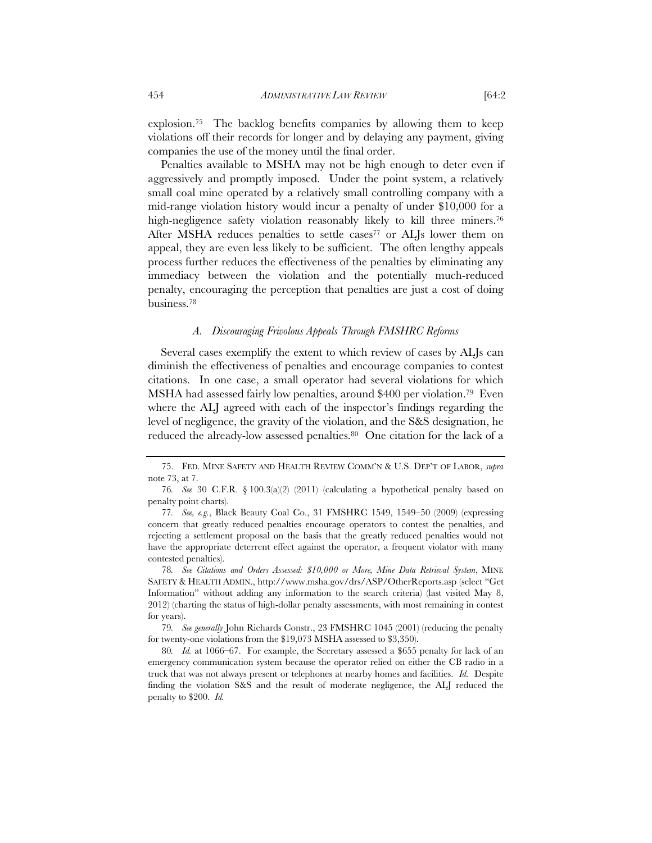explosion.75 The backlog benefits companies by allowing them to keep violations off their records for longer and by delaying any payment, giving companies the use of the money until the final order.

Penalties available to MSHA may not be high enough to deter even if aggressively and promptly imposed. Under the point system, a relatively small coal mine operated by a relatively small controlling company with a mid-range violation history would incur a penalty of under \$10,000 for a high-negligence safety violation reasonably likely to kill three miners.<sup>76</sup> After MSHA reduces penalties to settle cases<sup>77</sup> or ALJs lower them on appeal, they are even less likely to be sufficient. The often lengthy appeals process further reduces the effectiveness of the penalties by eliminating any immediacy between the violation and the potentially much-reduced penalty, encouraging the perception that penalties are just a cost of doing business.78

## *A. Discouraging Frivolous Appeals Through FMSHRC Reforms*

Several cases exemplify the extent to which review of cases by ALJs can diminish the effectiveness of penalties and encourage companies to contest citations. In one case, a small operator had several violations for which MSHA had assessed fairly low penalties, around \$400 per violation.79 Even where the ALJ agreed with each of the inspector's findings regarding the level of negligence, the gravity of the violation, and the S&S designation, he reduced the already-low assessed penalties.<sup>80</sup> One citation for the lack of a

79*. See generally* John Richards Constr., 23 FMSHRC 1045 (2001) (reducing the penalty for twenty-one violations from the \$19,073 MSHA assessed to \$3,350).

 <sup>75.</sup> FED. MINE SAFETY AND HEALTH REVIEW COMM'N & U.S. DEP'T OF LABOR, *supra*  note 73, at 7.

<sup>76</sup>*. See* 30 C.F.R. § 100.3(a)(2) (2011) (calculating a hypothetical penalty based on penalty point charts).

<sup>77</sup>*. See, e.g.*, Black Beauty Coal Co., 31 FMSHRC 1549, 1549–50 (2009) (expressing concern that greatly reduced penalties encourage operators to contest the penalties, and rejecting a settlement proposal on the basis that the greatly reduced penalties would not have the appropriate deterrent effect against the operator, a frequent violator with many contested penalties).

<sup>78</sup>*. See Citations and Orders Assessed: \$10,000 or More, Mine Data Retrieval System*, MINE SAFETY & HEALTH ADMIN., http://www.msha.gov/drs/ASP/OtherReports.asp (select "Get Information" without adding any information to the search criteria) (last visited May 8, 2012) (charting the status of high-dollar penalty assessments, with most remaining in contest for years).

<sup>80.</sup> Id. at 1066–67. For example, the Secretary assessed a \$655 penalty for lack of an emergency communication system because the operator relied on either the CB radio in a truck that was not always present or telephones at nearby homes and facilities. *Id.* Despite finding the violation S&S and the result of moderate negligence, the ALJ reduced the penalty to \$200. *Id.*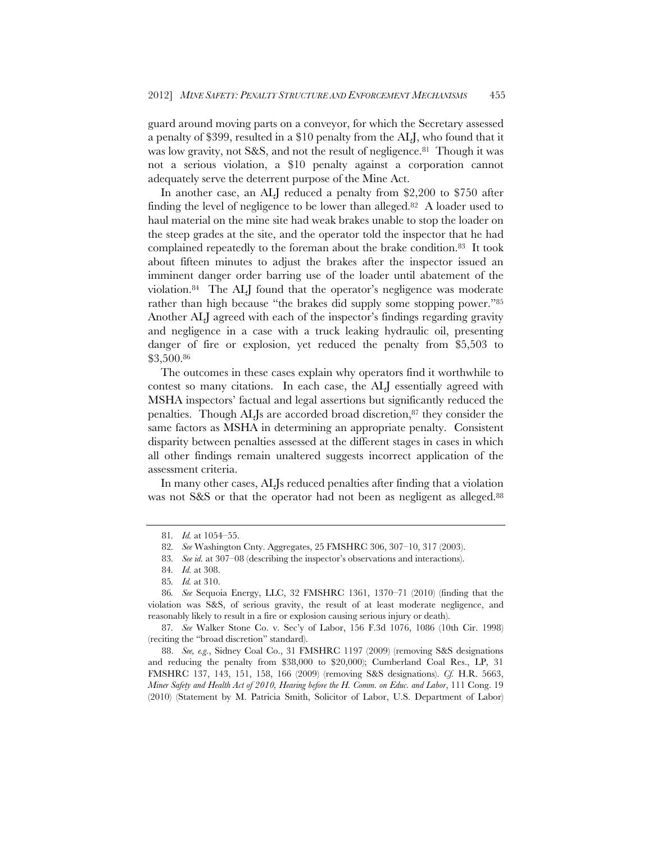guard around moving parts on a conveyor, for which the Secretary assessed a penalty of \$399, resulted in a \$10 penalty from the ALJ, who found that it was low gravity, not S&S, and not the result of negligence.<sup>81</sup> Though it was not a serious violation, a \$10 penalty against a corporation cannot adequately serve the deterrent purpose of the Mine Act.

In another case, an ALJ reduced a penalty from \$2,200 to \$750 after finding the level of negligence to be lower than alleged.82 A loader used to haul material on the mine site had weak brakes unable to stop the loader on the steep grades at the site, and the operator told the inspector that he had complained repeatedly to the foreman about the brake condition.83 It took about fifteen minutes to adjust the brakes after the inspector issued an imminent danger order barring use of the loader until abatement of the violation.84 The ALJ found that the operator's negligence was moderate rather than high because "the brakes did supply some stopping power."85 Another ALJ agreed with each of the inspector's findings regarding gravity and negligence in a case with a truck leaking hydraulic oil, presenting danger of fire or explosion, yet reduced the penalty from \$5,503 to \$3,500.86

The outcomes in these cases explain why operators find it worthwhile to contest so many citations. In each case, the ALJ essentially agreed with MSHA inspectors' factual and legal assertions but significantly reduced the penalties. Though ALJs are accorded broad discretion,87 they consider the same factors as MSHA in determining an appropriate penalty. Consistent disparity between penalties assessed at the different stages in cases in which all other findings remain unaltered suggests incorrect application of the assessment criteria.

In many other cases, ALJs reduced penalties after finding that a violation was not S&S or that the operator had not been as negligent as alleged.<sup>88</sup>

<sup>81</sup>*. Id.* at 1054–55.

<sup>82</sup>*. See* Washington Cnty. Aggregates, 25 FMSHRC 306, 307–10, 317 (2003).

<sup>83</sup>*. See id.* at 307–08 (describing the inspector's observations and interactions).

<sup>84</sup>*. Id.* at 308.

<sup>85</sup>*. Id.* at 310.

<sup>86</sup>*. See* Sequoia Energy, LLC, 32 FMSHRC 1361, 1370–71 (2010) (finding that the violation was S&S, of serious gravity, the result of at least moderate negligence, and reasonably likely to result in a fire or explosion causing serious injury or death).

<sup>87</sup>*. See* Walker Stone Co. v. Sec'y of Labor, 156 F.3d 1076, 1086 (10th Cir. 1998) (reciting the "broad discretion" standard).

 <sup>88.</sup> *See, e.g.*, Sidney Coal Co., 31 FMSHRC 1197 (2009) (removing S&S designations and reducing the penalty from \$38,000 to \$20,000); Cumberland Coal Res., LP, 31 FMSHRC 137, 143, 151, 158, 166 (2009) (removing S&S designations). *Cf.* H.R. 5663, *Miner Safety and Health Act of 2010, Hearing before the H. Comm. on Educ. and Labor*, 111 Cong. 19 (2010) (Statement by M. Patricia Smith, Solicitor of Labor, U.S. Department of Labor)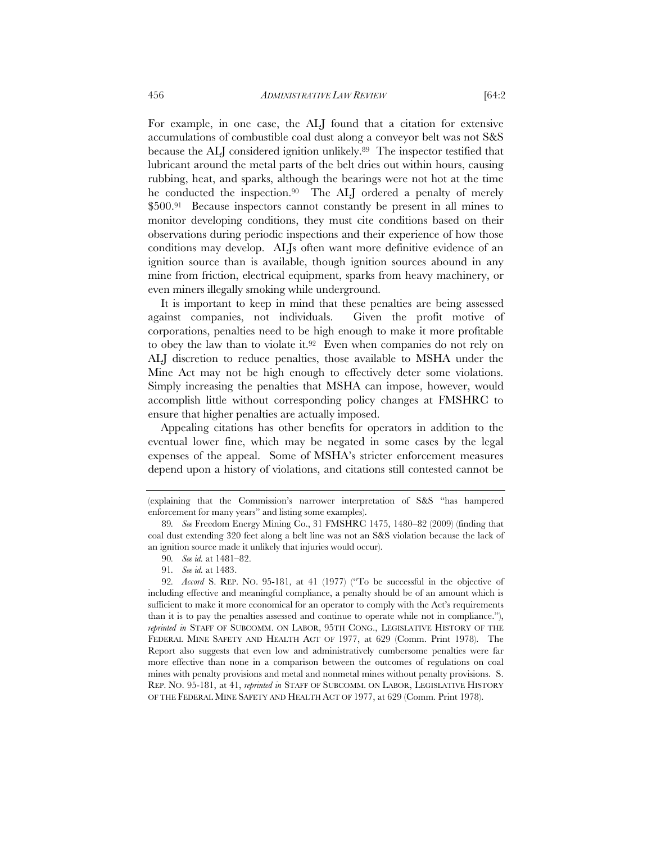For example, in one case, the ALJ found that a citation for extensive accumulations of combustible coal dust along a conveyor belt was not S&S because the ALJ considered ignition unlikely.<sup>89</sup> The inspector testified that lubricant around the metal parts of the belt dries out within hours, causing rubbing, heat, and sparks, although the bearings were not hot at the time he conducted the inspection.90 The ALJ ordered a penalty of merely \$500.91 Because inspectors cannot constantly be present in all mines to monitor developing conditions, they must cite conditions based on their observations during periodic inspections and their experience of how those conditions may develop. ALJs often want more definitive evidence of an ignition source than is available, though ignition sources abound in any mine from friction, electrical equipment, sparks from heavy machinery, or even miners illegally smoking while underground.

It is important to keep in mind that these penalties are being assessed against companies, not individuals. Given the profit motive of corporations, penalties need to be high enough to make it more profitable to obey the law than to violate it.92 Even when companies do not rely on ALJ discretion to reduce penalties, those available to MSHA under the Mine Act may not be high enough to effectively deter some violations. Simply increasing the penalties that MSHA can impose, however, would accomplish little without corresponding policy changes at FMSHRC to ensure that higher penalties are actually imposed.

Appealing citations has other benefits for operators in addition to the eventual lower fine, which may be negated in some cases by the legal expenses of the appeal. Some of MSHA's stricter enforcement measures depend upon a history of violations, and citations still contested cannot be

<sup>(</sup>explaining that the Commission's narrower interpretation of S&S "has hampered enforcement for many years" and listing some examples).

<sup>89</sup>*. See* Freedom Energy Mining Co., 31 FMSHRC 1475, 1480–82 (2009) (finding that coal dust extending 320 feet along a belt line was not an S&S violation because the lack of an ignition source made it unlikely that injuries would occur).

<sup>90</sup>*. See id.* at 1481–82.

<sup>91</sup>*. See id.* at 1483.

<sup>92</sup>*. Accord* S. REP. NO. 95-181, at 41 (1977) ("To be successful in the objective of including effective and meaningful compliance, a penalty should be of an amount which is sufficient to make it more economical for an operator to comply with the Act's requirements than it is to pay the penalties assessed and continue to operate while not in compliance."), *reprinted in* STAFF OF SUBCOMM. ON LABOR, 95TH CONG., LEGISLATIVE HISTORY OF THE FEDERAL MINE SAFETY AND HEALTH ACT OF 1977, at 629 (Comm. Print 1978). The Report also suggests that even low and administratively cumbersome penalties were far more effective than none in a comparison between the outcomes of regulations on coal mines with penalty provisions and metal and nonmetal mines without penalty provisions. S. REP. NO. 95-181, at 41, *reprinted in* STAFF OF SUBCOMM. ON LABOR, LEGISLATIVE HISTORY OF THE FEDERAL MINE SAFETY AND HEALTH ACT OF 1977, at 629 (Comm. Print 1978).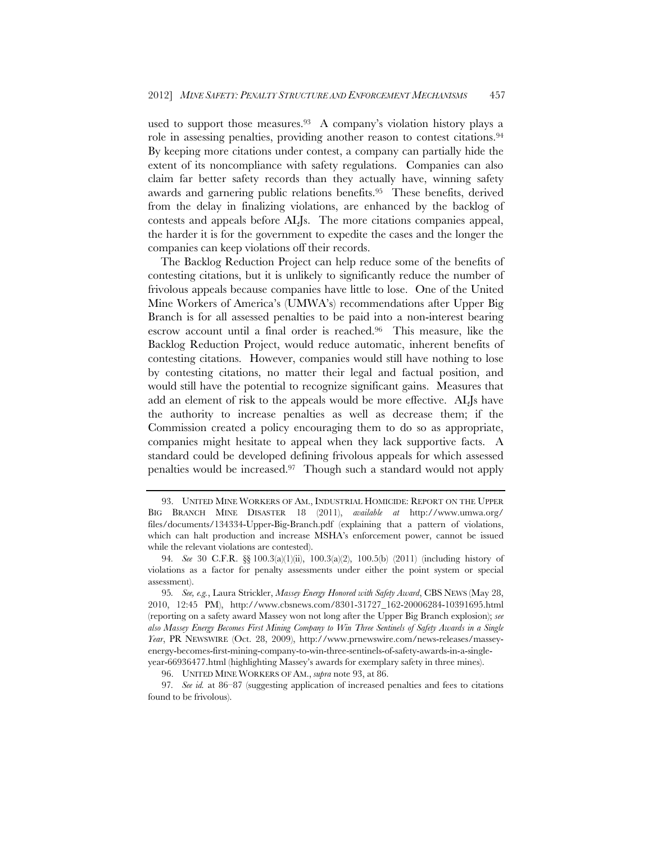used to support those measures.<sup>93</sup> A company's violation history plays a role in assessing penalties, providing another reason to contest citations.<sup>94</sup> By keeping more citations under contest, a company can partially hide the extent of its noncompliance with safety regulations. Companies can also claim far better safety records than they actually have, winning safety awards and garnering public relations benefits.95 These benefits, derived from the delay in finalizing violations, are enhanced by the backlog of contests and appeals before ALJs. The more citations companies appeal, the harder it is for the government to expedite the cases and the longer the companies can keep violations off their records.

The Backlog Reduction Project can help reduce some of the benefits of contesting citations, but it is unlikely to significantly reduce the number of frivolous appeals because companies have little to lose. One of the United Mine Workers of America's (UMWA's) recommendations after Upper Big Branch is for all assessed penalties to be paid into a non-interest bearing escrow account until a final order is reached.96 This measure, like the Backlog Reduction Project, would reduce automatic, inherent benefits of contesting citations. However, companies would still have nothing to lose by contesting citations, no matter their legal and factual position, and would still have the potential to recognize significant gains. Measures that add an element of risk to the appeals would be more effective. ALJs have the authority to increase penalties as well as decrease them; if the Commission created a policy encouraging them to do so as appropriate, companies might hesitate to appeal when they lack supportive facts. A standard could be developed defining frivolous appeals for which assessed penalties would be increased.97 Though such a standard would not apply

 <sup>93.</sup> UNITED MINE WORKERS OF AM., INDUSTRIAL HOMICIDE: REPORT ON THE UPPER BIG BRANCH MINE DISASTER 18 (2011), *available at* http://www.umwa.org/ files/documents/134334-Upper-Big-Branch.pdf (explaining that a pattern of violations, which can halt production and increase MSHA's enforcement power, cannot be issued while the relevant violations are contested).

<sup>94</sup>*. See* 30 C.F.R. §§ 100.3(a)(1)(ii), 100.3(a)(2), 100.5(b) (2011) (including history of violations as a factor for penalty assessments under either the point system or special assessment).

<sup>95</sup>*. See, e.g.*, Laura Strickler, *Massey Energy Honored with Safety Award*, CBS NEWS (May 28, 2010, 12:45 PM), http://www.cbsnews.com/8301-31727\_162-20006284-10391695.html (reporting on a safety award Massey won not long after the Upper Big Branch explosion); *see also Massey Energy Becomes First Mining Company to Win Three Sentinels of Safety Awards in a Single Year*, PR NEWSWIRE (Oct. 28, 2009), http://www.prnewswire.com/news-releases/masseyenergy-becomes-first-mining-company-to-win-three-sentinels-of-safety-awards-in-a-singleyear-66936477.html (highlighting Massey's awards for exemplary safety in three mines).

 <sup>96.</sup> UNITED MINE WORKERS OF AM., *supra* note 93, at 86.

<sup>97</sup>*. See id.* at 86–87 (suggesting application of increased penalties and fees to citations found to be frivolous).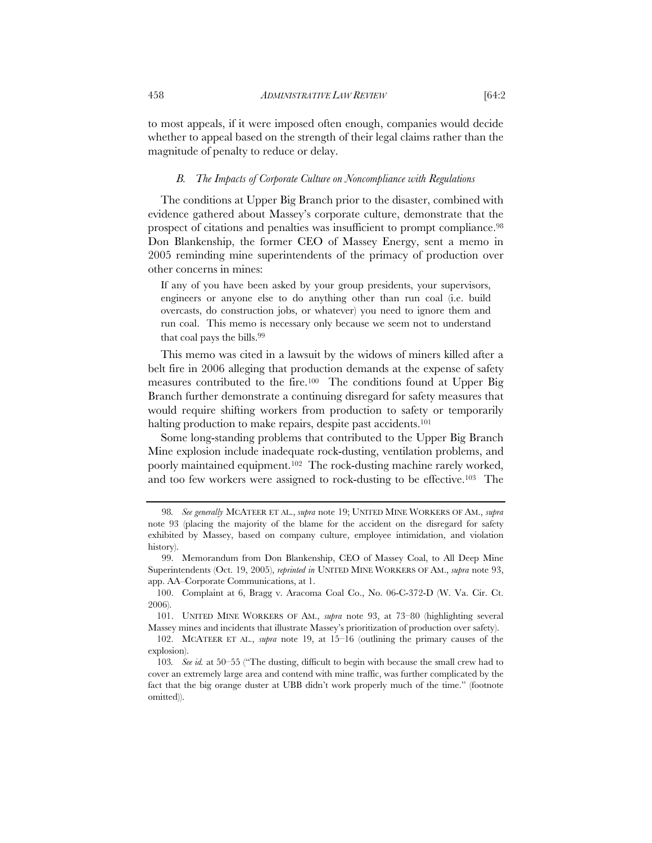to most appeals, if it were imposed often enough, companies would decide whether to appeal based on the strength of their legal claims rather than the magnitude of penalty to reduce or delay.

#### *B. The Impacts of Corporate Culture on Noncompliance with Regulations*

The conditions at Upper Big Branch prior to the disaster, combined with evidence gathered about Massey's corporate culture, demonstrate that the prospect of citations and penalties was insufficient to prompt compliance.<sup>98</sup> Don Blankenship, the former CEO of Massey Energy, sent a memo in 2005 reminding mine superintendents of the primacy of production over other concerns in mines:

If any of you have been asked by your group presidents, your supervisors, engineers or anyone else to do anything other than run coal (i.e. build overcasts, do construction jobs, or whatever) you need to ignore them and run coal. This memo is necessary only because we seem not to understand that coal pays the bills.99

This memo was cited in a lawsuit by the widows of miners killed after a belt fire in 2006 alleging that production demands at the expense of safety measures contributed to the fire.100 The conditions found at Upper Big Branch further demonstrate a continuing disregard for safety measures that would require shifting workers from production to safety or temporarily halting production to make repairs, despite past accidents.<sup>101</sup>

Some long-standing problems that contributed to the Upper Big Branch Mine explosion include inadequate rock-dusting, ventilation problems, and poorly maintained equipment.102 The rock-dusting machine rarely worked, and too few workers were assigned to rock-dusting to be effective.103 The

<sup>98</sup>*. See generally* MCATEER ET AL., *supra* note 19; UNITED MINE WORKERS OF AM., *supra* note 93 (placing the majority of the blame for the accident on the disregard for safety exhibited by Massey, based on company culture, employee intimidation, and violation history).

 <sup>99.</sup> Memorandum from Don Blankenship, CEO of Massey Coal, to All Deep Mine Superintendents (Oct. 19, 2005), *reprinted in* UNITED MINE WORKERS OF AM., *supra* note 93, app. AA–Corporate Communications, at 1.

 <sup>100.</sup> Complaint at 6, Bragg v. Aracoma Coal Co., No. 06-C-372-D (W. Va. Cir. Ct. 2006).

 <sup>101.</sup> UNITED MINE WORKERS OF AM., *supra* note 93, at 73–80 (highlighting several Massey mines and incidents that illustrate Massey's prioritization of production over safety).

 <sup>102.</sup> MCATEER ET AL., *supra* note 19, at 15–16 (outlining the primary causes of the explosion).

<sup>103</sup>*. See id.* at 50–55 ("The dusting, difficult to begin with because the small crew had to cover an extremely large area and contend with mine traffic, was further complicated by the fact that the big orange duster at UBB didn't work properly much of the time." (footnote omitted)).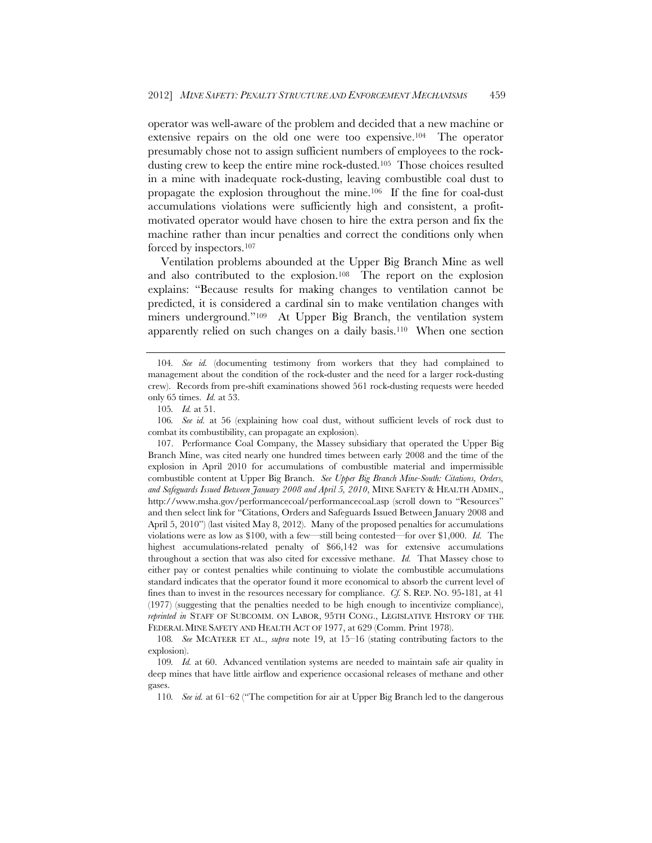operator was well-aware of the problem and decided that a new machine or extensive repairs on the old one were too expensive.104 The operator presumably chose not to assign sufficient numbers of employees to the rockdusting crew to keep the entire mine rock-dusted.105 Those choices resulted in a mine with inadequate rock-dusting, leaving combustible coal dust to propagate the explosion throughout the mine.106 If the fine for coal-dust accumulations violations were sufficiently high and consistent, a profitmotivated operator would have chosen to hire the extra person and fix the machine rather than incur penalties and correct the conditions only when forced by inspectors.107

Ventilation problems abounded at the Upper Big Branch Mine as well and also contributed to the explosion.<sup>108</sup> The report on the explosion explains: "Because results for making changes to ventilation cannot be predicted, it is considered a cardinal sin to make ventilation changes with miners underground."<sup>109</sup> At Upper Big Branch, the ventilation system apparently relied on such changes on a daily basis.110 When one section

 107. Performance Coal Company, the Massey subsidiary that operated the Upper Big Branch Mine, was cited nearly one hundred times between early 2008 and the time of the explosion in April 2010 for accumulations of combustible material and impermissible combustible content at Upper Big Branch. *See Upper Big Branch Mine-South: Citations, Orders, and Safeguards Issued Between January 2008 and April 5, 2010*, MINE SAFETY & HEALTH ADMIN., http://www.msha.gov/performancecoal/performancecoal.asp (scroll down to "Resources" and then select link for "Citations, Orders and Safeguards Issued Between January 2008 and April 5, 2010") (last visited May 8, 2012). Many of the proposed penalties for accumulations violations were as low as \$100, with a few—still being contested—for over \$1,000. *Id.* The highest accumulations-related penalty of \$66,142 was for extensive accumulations throughout a section that was also cited for excessive methane. *Id.* That Massey chose to either pay or contest penalties while continuing to violate the combustible accumulations standard indicates that the operator found it more economical to absorb the current level of fines than to invest in the resources necessary for compliance. *Cf.* S. REP. NO. 95-181, at 41 (1977) (suggesting that the penalties needed to be high enough to incentivize compliance), *reprinted in* STAFF OF SUBCOMM. ON LABOR, 95TH CONG., LEGISLATIVE HISTORY OF THE FEDERAL MINE SAFETY AND HEALTH ACT OF 1977, at 629 (Comm. Print 1978).

108*. See* MCATEER ET AL., *supra* note 19, at 15–16 (stating contributing factors to the explosion).

109*. Id.* at 60. Advanced ventilation systems are needed to maintain safe air quality in deep mines that have little airflow and experience occasional releases of methane and other gases.

110*. See id.* at 61–62 ("The competition for air at Upper Big Branch led to the dangerous

<sup>104</sup>*. See id.* (documenting testimony from workers that they had complained to management about the condition of the rock-duster and the need for a larger rock-dusting crew). Records from pre-shift examinations showed 561 rock-dusting requests were heeded only 65 times. *Id.* at 53.

<sup>105</sup>*. Id.* at 51.

<sup>106</sup>*. See id.* at 56 (explaining how coal dust, without sufficient levels of rock dust to combat its combustibility, can propagate an explosion).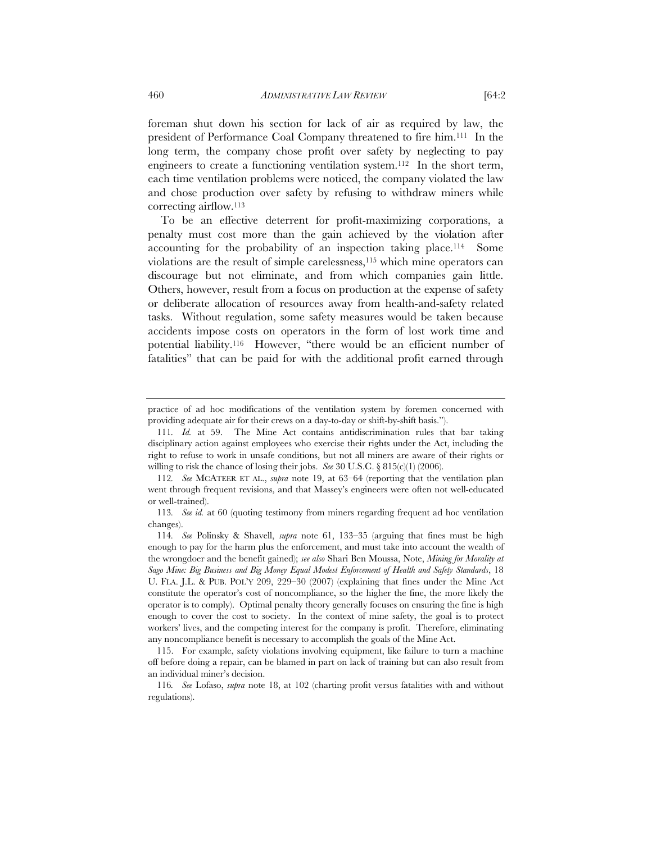foreman shut down his section for lack of air as required by law, the president of Performance Coal Company threatened to fire him.111 In the long term, the company chose profit over safety by neglecting to pay engineers to create a functioning ventilation system.112 In the short term, each time ventilation problems were noticed, the company violated the law and chose production over safety by refusing to withdraw miners while correcting airflow.113

To be an effective deterrent for profit-maximizing corporations, a penalty must cost more than the gain achieved by the violation after accounting for the probability of an inspection taking place.114 Some violations are the result of simple carelessness,115 which mine operators can discourage but not eliminate, and from which companies gain little. Others, however, result from a focus on production at the expense of safety or deliberate allocation of resources away from health-and-safety related tasks. Without regulation, some safety measures would be taken because accidents impose costs on operators in the form of lost work time and potential liability.116 However, "there would be an efficient number of fatalities" that can be paid for with the additional profit earned through

practice of ad hoc modifications of the ventilation system by foremen concerned with providing adequate air for their crews on a day-to-day or shift-by-shift basis.").

<sup>111</sup>*. Id.* at 59. The Mine Act contains antidiscrimination rules that bar taking disciplinary action against employees who exercise their rights under the Act, including the right to refuse to work in unsafe conditions, but not all miners are aware of their rights or willing to risk the chance of losing their jobs. *See* 30 U.S.C. § 815(c)(1) (2006).

<sup>112</sup>*. See* MCATEER ET AL., *supra* note 19, at 63–64 (reporting that the ventilation plan went through frequent revisions, and that Massey's engineers were often not well-educated or well-trained).

<sup>113</sup>*. See id.* at 60 (quoting testimony from miners regarding frequent ad hoc ventilation changes).

<sup>114</sup>*. See* Polinsky & Shavell, *supra* note 61, 133–35 (arguing that fines must be high enough to pay for the harm plus the enforcement, and must take into account the wealth of the wrongdoer and the benefit gained); *see also* Shari Ben Moussa, Note, *Mining for Morality at Sago Mine: Big Business and Big Money Equal Modest Enforcement of Health and Safety Standards*, 18 U. FLA. J.L. & PUB. POL'Y 209, 229–30 (2007) (explaining that fines under the Mine Act constitute the operator's cost of noncompliance, so the higher the fine, the more likely the operator is to comply). Optimal penalty theory generally focuses on ensuring the fine is high enough to cover the cost to society. In the context of mine safety, the goal is to protect workers' lives, and the competing interest for the company is profit. Therefore, eliminating any noncompliance benefit is necessary to accomplish the goals of the Mine Act.

 <sup>115.</sup> For example, safety violations involving equipment, like failure to turn a machine off before doing a repair, can be blamed in part on lack of training but can also result from an individual miner's decision.

<sup>116</sup>*. See* Lofaso, *supra* note 18, at 102 (charting profit versus fatalities with and without regulations).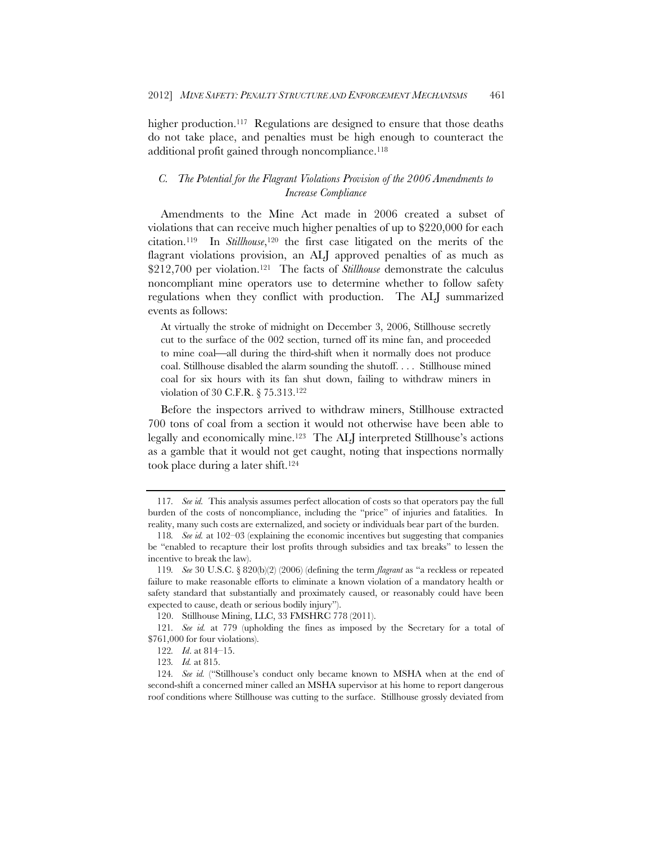higher production.<sup>117</sup> Regulations are designed to ensure that those deaths do not take place, and penalties must be high enough to counteract the additional profit gained through noncompliance.<sup>118</sup>

# *C. The Potential for the Flagrant Violations Provision of the 2006 Amendments to Increase Compliance*

Amendments to the Mine Act made in 2006 created a subset of violations that can receive much higher penalties of up to \$220,000 for each citation.119 In *Stillhouse*,120 the first case litigated on the merits of the flagrant violations provision, an ALJ approved penalties of as much as \$212,700 per violation.121 The facts of *Stillhouse* demonstrate the calculus noncompliant mine operators use to determine whether to follow safety regulations when they conflict with production. The ALJ summarized events as follows:

At virtually the stroke of midnight on December 3, 2006, Stillhouse secretly cut to the surface of the 002 section, turned off its mine fan, and proceeded to mine coal—all during the third-shift when it normally does not produce coal. Stillhouse disabled the alarm sounding the shutoff. . . . Stillhouse mined coal for six hours with its fan shut down, failing to withdraw miners in violation of 30 C.F.R. § 75.313.122

Before the inspectors arrived to withdraw miners, Stillhouse extracted 700 tons of coal from a section it would not otherwise have been able to legally and economically mine.123 The ALJ interpreted Stillhouse's actions as a gamble that it would not get caught, noting that inspections normally took place during a later shift.124

<sup>117</sup>*. See id.* This analysis assumes perfect allocation of costs so that operators pay the full burden of the costs of noncompliance, including the "price" of injuries and fatalities. In reality, many such costs are externalized, and society or individuals bear part of the burden.

<sup>118</sup>*. See id.* at 102–03 (explaining the economic incentives but suggesting that companies be "enabled to recapture their lost profits through subsidies and tax breaks" to lessen the incentive to break the law).

<sup>119</sup>*. See* 30 U.S.C. § 820(b)(2) (2006) (defining the term *flagrant* as "a reckless or repeated failure to make reasonable efforts to eliminate a known violation of a mandatory health or safety standard that substantially and proximately caused, or reasonably could have been expected to cause, death or serious bodily injury").

 <sup>120.</sup> Stillhouse Mining, LLC, 33 FMSHRC 778 (2011).

<sup>121</sup>*. See id.* at 779 (upholding the fines as imposed by the Secretary for a total of \$761,000 for four violations).

<sup>122</sup>*. Id*. at 814–15.

<sup>123</sup>*. Id.* at 815.

<sup>124</sup>*. See id.* ("Stillhouse's conduct only became known to MSHA when at the end of second-shift a concerned miner called an MSHA supervisor at his home to report dangerous roof conditions where Stillhouse was cutting to the surface. Stillhouse grossly deviated from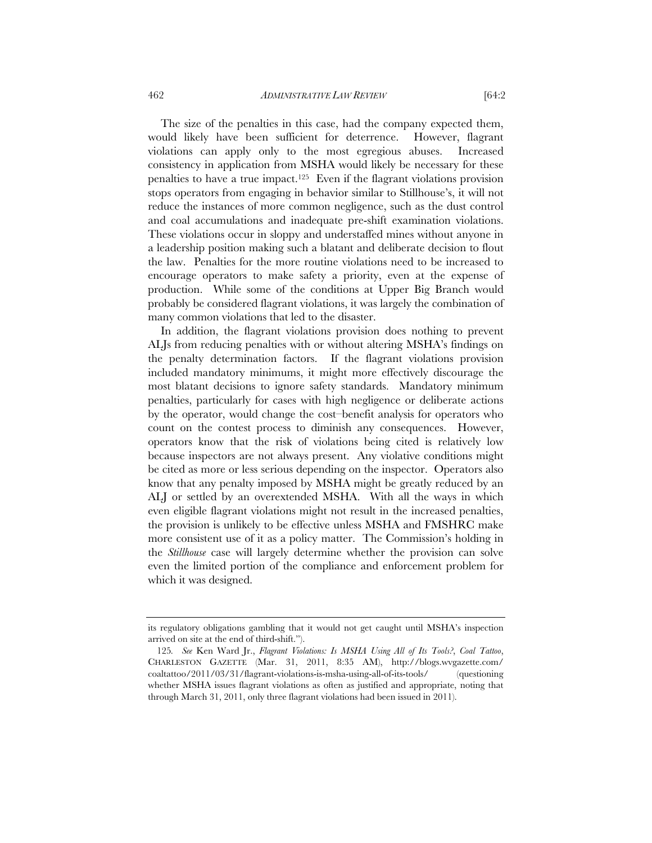The size of the penalties in this case, had the company expected them, would likely have been sufficient for deterrence. However, flagrant violations can apply only to the most egregious abuses. Increased consistency in application from MSHA would likely be necessary for these penalties to have a true impact.125 Even if the flagrant violations provision stops operators from engaging in behavior similar to Stillhouse's, it will not

reduce the instances of more common negligence, such as the dust control and coal accumulations and inadequate pre-shift examination violations. These violations occur in sloppy and understaffed mines without anyone in a leadership position making such a blatant and deliberate decision to flout the law. Penalties for the more routine violations need to be increased to encourage operators to make safety a priority, even at the expense of production. While some of the conditions at Upper Big Branch would probably be considered flagrant violations, it was largely the combination of many common violations that led to the disaster.

In addition, the flagrant violations provision does nothing to prevent ALJs from reducing penalties with or without altering MSHA's findings on the penalty determination factors. If the flagrant violations provision included mandatory minimums, it might more effectively discourage the most blatant decisions to ignore safety standards. Mandatory minimum penalties, particularly for cases with high negligence or deliberate actions by the operator, would change the cost–benefit analysis for operators who count on the contest process to diminish any consequences. However, operators know that the risk of violations being cited is relatively low because inspectors are not always present. Any violative conditions might be cited as more or less serious depending on the inspector. Operators also know that any penalty imposed by MSHA might be greatly reduced by an ALJ or settled by an overextended MSHA. With all the ways in which even eligible flagrant violations might not result in the increased penalties, the provision is unlikely to be effective unless MSHA and FMSHRC make more consistent use of it as a policy matter. The Commission's holding in the *Stillhouse* case will largely determine whether the provision can solve even the limited portion of the compliance and enforcement problem for which it was designed.

its regulatory obligations gambling that it would not get caught until MSHA's inspection arrived on site at the end of third-shift.").

<sup>125</sup>*. See* Ken Ward Jr., *Flagrant Violations: Is MSHA Using All of Its Tools?*, *Coal Tattoo*, CHARLESTON GAZETTE (Mar. 31, 2011, 8:35 AM), http://blogs.wvgazette.com/ coaltattoo/2011/03/31/flagrant-violations-is-msha-using-all-of-its-tools/ (questioning whether MSHA issues flagrant violations as often as justified and appropriate, noting that through March 31, 2011, only three flagrant violations had been issued in 2011).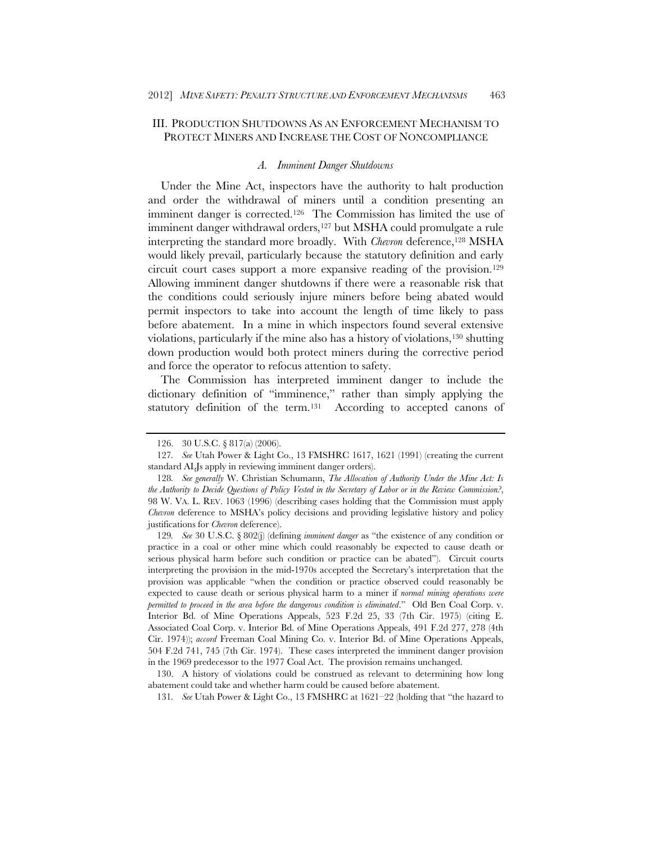# III. PRODUCTION SHUTDOWNS AS AN ENFORCEMENT MECHANISM TO PROTECT MINERS AND INCREASE THE COST OF NONCOMPLIANCE

## *A. Imminent Danger Shutdowns*

Under the Mine Act, inspectors have the authority to halt production and order the withdrawal of miners until a condition presenting an imminent danger is corrected.126 The Commission has limited the use of imminent danger withdrawal orders,<sup>127</sup> but MSHA could promulgate a rule interpreting the standard more broadly. With *Chevron* deference,<sup>128</sup> MSHA would likely prevail, particularly because the statutory definition and early circuit court cases support a more expansive reading of the provision.129 Allowing imminent danger shutdowns if there were a reasonable risk that the conditions could seriously injure miners before being abated would permit inspectors to take into account the length of time likely to pass before abatement. In a mine in which inspectors found several extensive violations, particularly if the mine also has a history of violations,130 shutting down production would both protect miners during the corrective period and force the operator to refocus attention to safety.

The Commission has interpreted imminent danger to include the dictionary definition of "imminence," rather than simply applying the statutory definition of the term.131 According to accepted canons of

 <sup>126. 30</sup> U.S.C. § 817(a) (2006).

<sup>127</sup>*. See* Utah Power & Light Co., 13 FMSHRC 1617, 1621 (1991) (creating the current standard ALJs apply in reviewing imminent danger orders).

<sup>128</sup>*. See generally* W. Christian Schumann, *The Allocation of Authority Under the Mine Act: Is the Authority to Decide Questions of Policy Vested in the Secretary of Labor or in the Review Commission?*, 98 W. VA. L. REV. 1063 (1996) (describing cases holding that the Commission must apply *Chevron* deference to MSHA's policy decisions and providing legislative history and policy justifications for *Chevron* deference).

<sup>129</sup>*. See* 30 U.S.C. § 802(j) (defining *imminent danger* as "the existence of any condition or practice in a coal or other mine which could reasonably be expected to cause death or serious physical harm before such condition or practice can be abated"). Circuit courts interpreting the provision in the mid-1970s accepted the Secretary's interpretation that the provision was applicable "when the condition or practice observed could reasonably be expected to cause death or serious physical harm to a miner if *normal mining operations were permitted to proceed in the area before the dangerous condition is eliminated*." Old Ben Coal Corp. v. Interior Bd. of Mine Operations Appeals, 523 F.2d 25, 33 (7th Cir. 1975) (citing E. Associated Coal Corp. v. Interior Bd. of Mine Operations Appeals, 491 F.2d 277, 278 (4th Cir. 1974)); *accord* Freeman Coal Mining Co. v. Interior Bd. of Mine Operations Appeals, 504 F.2d 741, 745 (7th Cir. 1974). These cases interpreted the imminent danger provision in the 1969 predecessor to the 1977 Coal Act. The provision remains unchanged.

 <sup>130.</sup> A history of violations could be construed as relevant to determining how long abatement could take and whether harm could be caused before abatement.

<sup>131</sup>*. See* Utah Power & Light Co., 13 FMSHRC at 1621–22 (holding that "the hazard to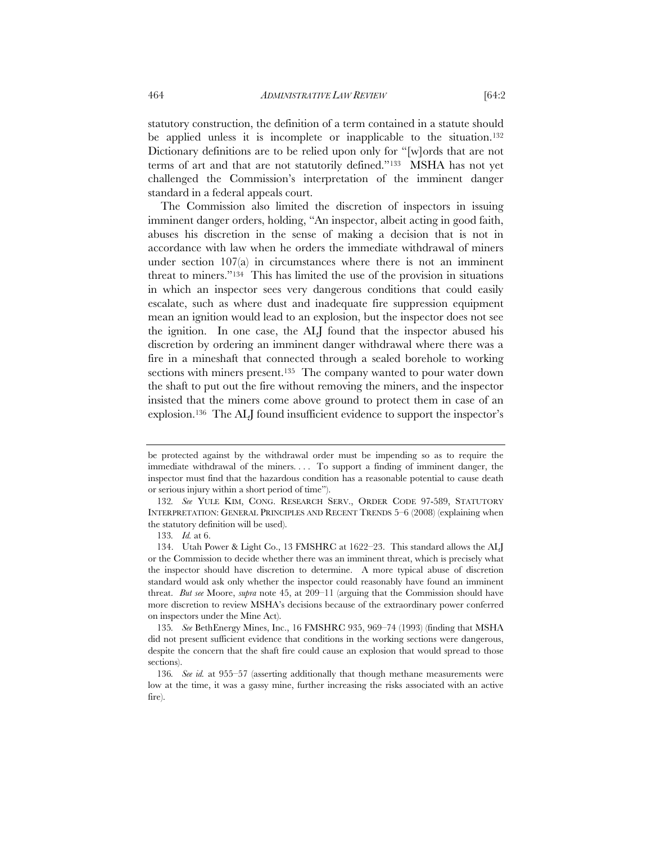statutory construction, the definition of a term contained in a statute should be applied unless it is incomplete or inapplicable to the situation.<sup>132</sup> Dictionary definitions are to be relied upon only for "[w]ords that are not terms of art and that are not statutorily defined."133 MSHA has not yet challenged the Commission's interpretation of the imminent danger standard in a federal appeals court.

The Commission also limited the discretion of inspectors in issuing imminent danger orders, holding, "An inspector, albeit acting in good faith, abuses his discretion in the sense of making a decision that is not in accordance with law when he orders the immediate withdrawal of miners under section 107(a) in circumstances where there is not an imminent threat to miners."134 This has limited the use of the provision in situations in which an inspector sees very dangerous conditions that could easily escalate, such as where dust and inadequate fire suppression equipment mean an ignition would lead to an explosion, but the inspector does not see the ignition. In one case, the ALJ found that the inspector abused his discretion by ordering an imminent danger withdrawal where there was a fire in a mineshaft that connected through a sealed borehole to working sections with miners present.<sup>135</sup> The company wanted to pour water down the shaft to put out the fire without removing the miners, and the inspector insisted that the miners come above ground to protect them in case of an explosion.136 The ALJ found insufficient evidence to support the inspector's

be protected against by the withdrawal order must be impending so as to require the immediate withdrawal of the miners. . . . To support a finding of imminent danger, the inspector must find that the hazardous condition has a reasonable potential to cause death or serious injury within a short period of time").

<sup>132</sup>*. See* YULE KIM, CONG. RESEARCH SERV., ORDER CODE 97-589, STATUTORY INTERPRETATION: GENERAL PRINCIPLES AND RECENT TRENDS 5–6 (2008) (explaining when the statutory definition will be used).

<sup>133</sup>*. Id.* at 6.

 <sup>134.</sup> Utah Power & Light Co., 13 FMSHRC at 1622–23. This standard allows the ALJ or the Commission to decide whether there was an imminent threat, which is precisely what the inspector should have discretion to determine. A more typical abuse of discretion standard would ask only whether the inspector could reasonably have found an imminent threat. *But see* Moore, *supra* note 45, at 209–11 (arguing that the Commission should have more discretion to review MSHA's decisions because of the extraordinary power conferred on inspectors under the Mine Act).

<sup>135</sup>*. See* BethEnergy Mines, Inc., 16 FMSHRC 935, 969–74 (1993) (finding that MSHA did not present sufficient evidence that conditions in the working sections were dangerous, despite the concern that the shaft fire could cause an explosion that would spread to those sections).

<sup>136</sup>*. See id.* at 955–57 (asserting additionally that though methane measurements were low at the time, it was a gassy mine, further increasing the risks associated with an active fire).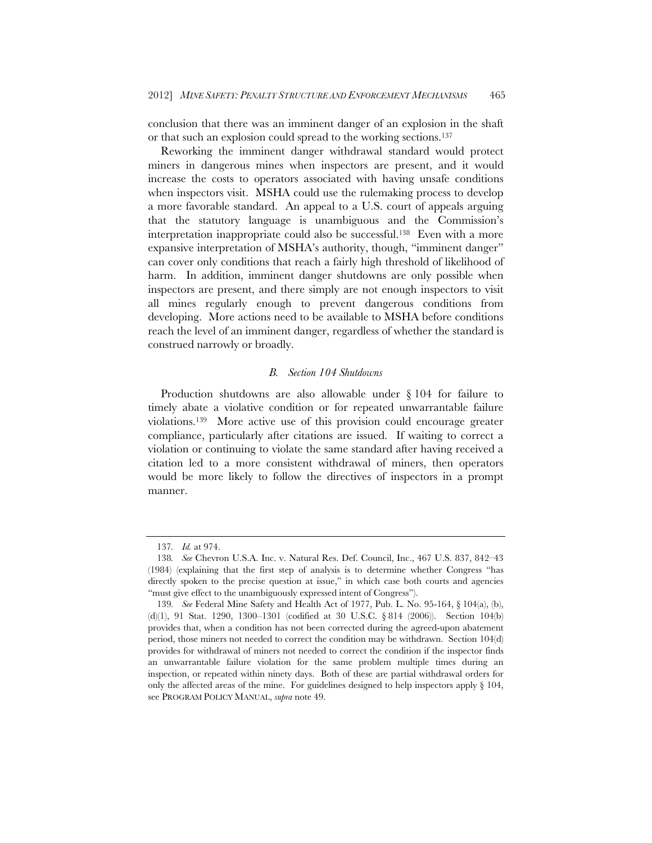conclusion that there was an imminent danger of an explosion in the shaft or that such an explosion could spread to the working sections.137

Reworking the imminent danger withdrawal standard would protect miners in dangerous mines when inspectors are present, and it would increase the costs to operators associated with having unsafe conditions when inspectors visit. MSHA could use the rulemaking process to develop a more favorable standard. An appeal to a U.S. court of appeals arguing that the statutory language is unambiguous and the Commission's interpretation inappropriate could also be successful.138 Even with a more expansive interpretation of MSHA's authority, though, "imminent danger" can cover only conditions that reach a fairly high threshold of likelihood of harm. In addition, imminent danger shutdowns are only possible when inspectors are present, and there simply are not enough inspectors to visit all mines regularly enough to prevent dangerous conditions from developing. More actions need to be available to MSHA before conditions reach the level of an imminent danger, regardless of whether the standard is construed narrowly or broadly.

#### *B. Section 104 Shutdowns*

Production shutdowns are also allowable under § 104 for failure to timely abate a violative condition or for repeated unwarrantable failure violations.139 More active use of this provision could encourage greater compliance, particularly after citations are issued. If waiting to correct a violation or continuing to violate the same standard after having received a citation led to a more consistent withdrawal of miners, then operators would be more likely to follow the directives of inspectors in a prompt manner.

<sup>137</sup>*. Id.* at 974.

<sup>138</sup>*. See* Chevron U.S.A. Inc. v. Natural Res. Def. Council, Inc., 467 U.S. 837, 842–43 (1984) (explaining that the first step of analysis is to determine whether Congress "has directly spoken to the precise question at issue," in which case both courts and agencies "must give effect to the unambiguously expressed intent of Congress").

<sup>139</sup>*. See* Federal Mine Safety and Health Act of 1977, Pub. L. No. 95-164, § 104(a), (b), (d)(1), 91 Stat. 1290, 1300–1301 (codified at 30 U.S.C. § 814 (2006)). Section 104(b) provides that, when a condition has not been corrected during the agreed-upon abatement period, those miners not needed to correct the condition may be withdrawn. Section 104(d) provides for withdrawal of miners not needed to correct the condition if the inspector finds an unwarrantable failure violation for the same problem multiple times during an inspection, or repeated within ninety days. Both of these are partial withdrawal orders for only the affected areas of the mine. For guidelines designed to help inspectors apply  $\S$  104, see PROGRAM POLICY MANUAL, *supra* note 49.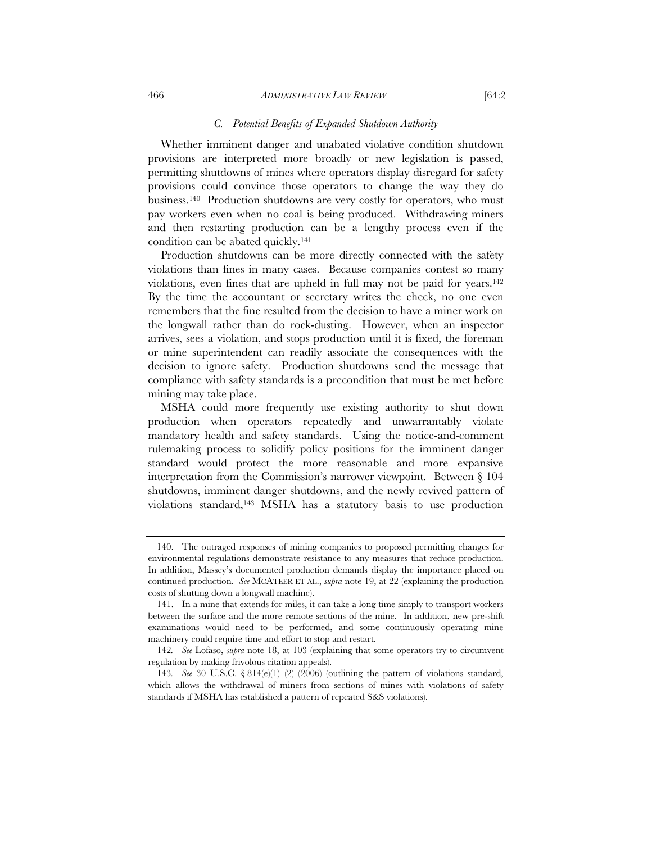#### 466 *ADMINISTRATIVE LAW REVIEW* [64:2

# *C. Potential Benefits of Expanded Shutdown Authority*

Whether imminent danger and unabated violative condition shutdown provisions are interpreted more broadly or new legislation is passed, permitting shutdowns of mines where operators display disregard for safety provisions could convince those operators to change the way they do business.140 Production shutdowns are very costly for operators, who must pay workers even when no coal is being produced. Withdrawing miners and then restarting production can be a lengthy process even if the condition can be abated quickly.141

Production shutdowns can be more directly connected with the safety violations than fines in many cases. Because companies contest so many violations, even fines that are upheld in full may not be paid for years.142 By the time the accountant or secretary writes the check, no one even remembers that the fine resulted from the decision to have a miner work on the longwall rather than do rock-dusting. However, when an inspector arrives, sees a violation, and stops production until it is fixed, the foreman or mine superintendent can readily associate the consequences with the decision to ignore safety. Production shutdowns send the message that compliance with safety standards is a precondition that must be met before mining may take place.

MSHA could more frequently use existing authority to shut down production when operators repeatedly and unwarrantably violate mandatory health and safety standards. Using the notice-and-comment rulemaking process to solidify policy positions for the imminent danger standard would protect the more reasonable and more expansive interpretation from the Commission's narrower viewpoint. Between § 104 shutdowns, imminent danger shutdowns, and the newly revived pattern of violations standard,143 MSHA has a statutory basis to use production

 <sup>140.</sup> The outraged responses of mining companies to proposed permitting changes for environmental regulations demonstrate resistance to any measures that reduce production. In addition, Massey's documented production demands display the importance placed on continued production. *See* MCATEER ET AL., *supra* note 19, at 22 (explaining the production costs of shutting down a longwall machine).

 <sup>141.</sup> In a mine that extends for miles, it can take a long time simply to transport workers between the surface and the more remote sections of the mine. In addition, new pre-shift examinations would need to be performed, and some continuously operating mine machinery could require time and effort to stop and restart.

<sup>142</sup>*. See* Lofaso, *supra* note 18, at 103 (explaining that some operators try to circumvent regulation by making frivolous citation appeals).

<sup>143</sup>*. See* 30 U.S.C. § 814(e)(1)–(2) (2006) (outlining the pattern of violations standard, which allows the withdrawal of miners from sections of mines with violations of safety standards if MSHA has established a pattern of repeated S&S violations).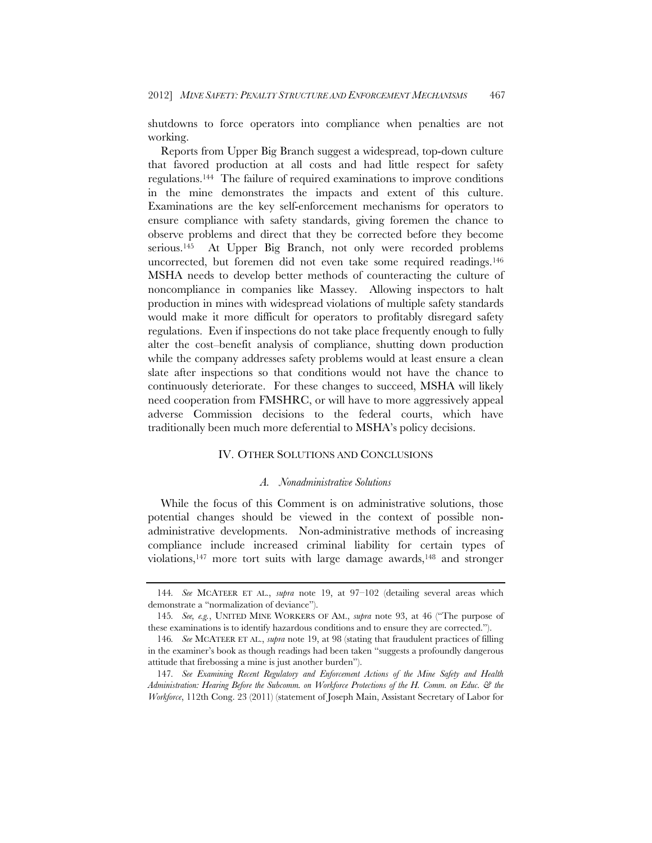shutdowns to force operators into compliance when penalties are not working.

Reports from Upper Big Branch suggest a widespread, top-down culture that favored production at all costs and had little respect for safety regulations.144 The failure of required examinations to improve conditions in the mine demonstrates the impacts and extent of this culture. Examinations are the key self-enforcement mechanisms for operators to ensure compliance with safety standards, giving foremen the chance to observe problems and direct that they be corrected before they become serious.145 At Upper Big Branch, not only were recorded problems uncorrected, but foremen did not even take some required readings.146 MSHA needs to develop better methods of counteracting the culture of noncompliance in companies like Massey. Allowing inspectors to halt production in mines with widespread violations of multiple safety standards would make it more difficult for operators to profitably disregard safety regulations. Even if inspections do not take place frequently enough to fully alter the cost–benefit analysis of compliance, shutting down production while the company addresses safety problems would at least ensure a clean slate after inspections so that conditions would not have the chance to continuously deteriorate. For these changes to succeed, MSHA will likely need cooperation from FMSHRC, or will have to more aggressively appeal adverse Commission decisions to the federal courts, which have traditionally been much more deferential to MSHA's policy decisions.

# IV. OTHER SOLUTIONS AND CONCLUSIONS

#### *A. Nonadministrative Solutions*

While the focus of this Comment is on administrative solutions, those potential changes should be viewed in the context of possible nonadministrative developments. Non-administrative methods of increasing compliance include increased criminal liability for certain types of violations,<sup>147</sup> more tort suits with large damage awards,<sup>148</sup> and stronger

<sup>144</sup>*. See* MCATEER ET AL., *supra* note 19, at 97–102 (detailing several areas which demonstrate a "normalization of deviance").

<sup>145</sup>*. See, e.g.*, UNITED MINE WORKERS OF AM., *supra* note 93, at 46 ("The purpose of these examinations is to identify hazardous conditions and to ensure they are corrected.").

<sup>146</sup>*. See* MCATEER ET AL., *supra* note 19, at 98 (stating that fraudulent practices of filling in the examiner's book as though readings had been taken "suggests a profoundly dangerous attitude that firebossing a mine is just another burden").

<sup>147</sup>*. See Examining Recent Regulatory and Enforcement Actions of the Mine Safety and Health Administration: Hearing Before the Subcomm. on Workforce Protections of the H. Comm. on Educ. & the Workforce*, 112th Cong. 23 (2011) (statement of Joseph Main, Assistant Secretary of Labor for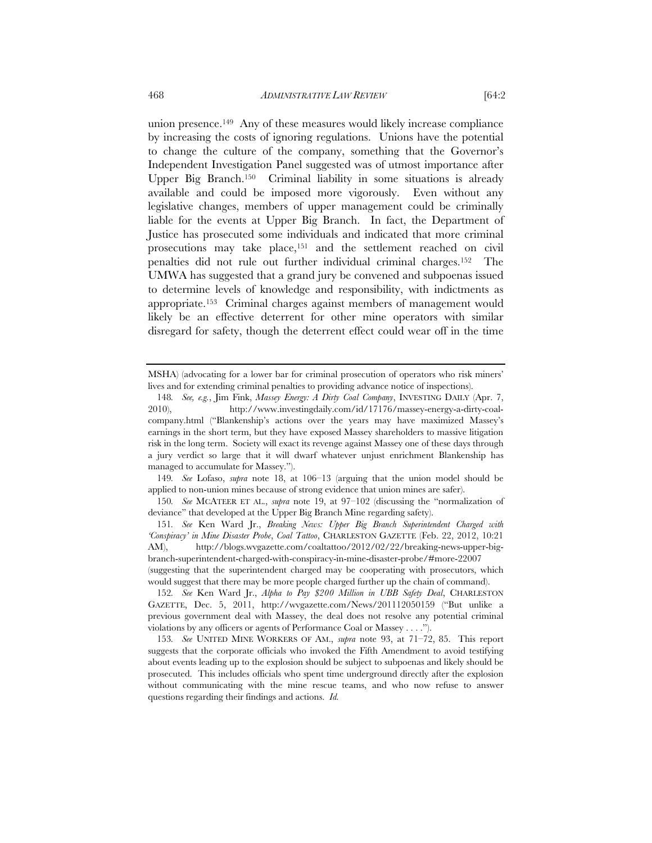union presence.149 Any of these measures would likely increase compliance by increasing the costs of ignoring regulations. Unions have the potential to change the culture of the company, something that the Governor's Independent Investigation Panel suggested was of utmost importance after Upper Big Branch.150 Criminal liability in some situations is already available and could be imposed more vigorously. Even without any legislative changes, members of upper management could be criminally liable for the events at Upper Big Branch. In fact, the Department of Justice has prosecuted some individuals and indicated that more criminal prosecutions may take place,151 and the settlement reached on civil penalties did not rule out further individual criminal charges.152 The UMWA has suggested that a grand jury be convened and subpoenas issued to determine levels of knowledge and responsibility, with indictments as appropriate.153 Criminal charges against members of management would likely be an effective deterrent for other mine operators with similar disregard for safety, though the deterrent effect could wear off in the time

149*. See* Lofaso, *supra* note 18, at 106–13 (arguing that the union model should be applied to non-union mines because of strong evidence that union mines are safer).

150*. See* MCATEER ET AL., *supra* note 19, at 97–102 (discussing the "normalization of deviance" that developed at the Upper Big Branch Mine regarding safety).

151*. See* Ken Ward Jr., *Breaking News: Upper Big Branch Superintendent Charged with 'Conspiracy' in Mine Disaster Probe*, *Coal Tattoo*, CHARLESTON GAZETTE (Feb. 22, 2012, 10:21 AM), http://blogs.wvgazette.com/coaltattoo/2012/02/22/breaking-news-upper-bigbranch-superintendent-charged-with-conspiracy-in-mine-disaster-probe/#more-22007 (suggesting that the superintendent charged may be cooperating with prosecutors, which would suggest that there may be more people charged further up the chain of command).

152*. See* Ken Ward Jr., *Alpha to Pay \$200 Million in UBB Safety Deal*, CHARLESTON GAZETTE, Dec. 5, 2011, http://wvgazette.com/News/201112050159 ("But unlike a previous government deal with Massey, the deal does not resolve any potential criminal violations by any officers or agents of Performance Coal or Massey . . . .").

153*. See* UNITED MINE WORKERS OF AM., *supra* note 93, at 71–72, 85. This report suggests that the corporate officials who invoked the Fifth Amendment to avoid testifying about events leading up to the explosion should be subject to subpoenas and likely should be prosecuted. This includes officials who spent time underground directly after the explosion without communicating with the mine rescue teams, and who now refuse to answer questions regarding their findings and actions. *Id.* 

MSHA) (advocating for a lower bar for criminal prosecution of operators who risk miners' lives and for extending criminal penalties to providing advance notice of inspections).

<sup>148</sup>*. See, e.g.*, Jim Fink, *Massey Energy: A Dirty Coal Company*, INVESTING DAILY (Apr. 7, 2010), http://www.investingdaily.com/id/17176/massey-energy-a-dirty-coalcompany.html ("Blankenship's actions over the years may have maximized Massey's earnings in the short term, but they have exposed Massey shareholders to massive litigation risk in the long term. Society will exact its revenge against Massey one of these days through a jury verdict so large that it will dwarf whatever unjust enrichment Blankenship has managed to accumulate for Massey.").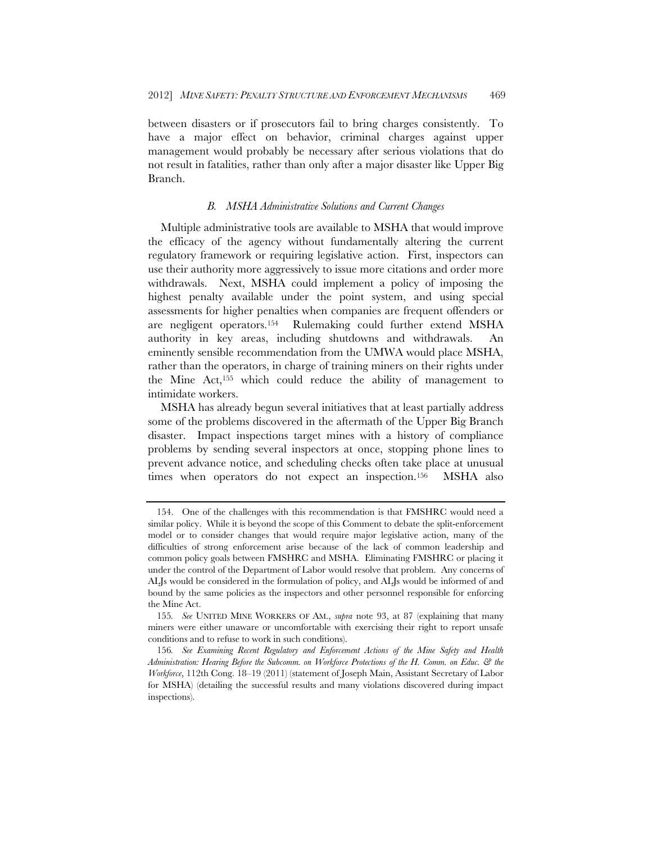between disasters or if prosecutors fail to bring charges consistently. To have a major effect on behavior, criminal charges against upper management would probably be necessary after serious violations that do not result in fatalities, rather than only after a major disaster like Upper Big Branch.

## *B. MSHA Administrative Solutions and Current Changes*

Multiple administrative tools are available to MSHA that would improve the efficacy of the agency without fundamentally altering the current regulatory framework or requiring legislative action. First, inspectors can use their authority more aggressively to issue more citations and order more withdrawals. Next, MSHA could implement a policy of imposing the highest penalty available under the point system, and using special assessments for higher penalties when companies are frequent offenders or are negligent operators.154 Rulemaking could further extend MSHA authority in key areas, including shutdowns and withdrawals. An eminently sensible recommendation from the UMWA would place MSHA, rather than the operators, in charge of training miners on their rights under the Mine Act,155 which could reduce the ability of management to intimidate workers.

MSHA has already begun several initiatives that at least partially address some of the problems discovered in the aftermath of the Upper Big Branch disaster. Impact inspections target mines with a history of compliance problems by sending several inspectors at once, stopping phone lines to prevent advance notice, and scheduling checks often take place at unusual times when operators do not expect an inspection.156 MSHA also

 <sup>154.</sup> One of the challenges with this recommendation is that FMSHRC would need a similar policy. While it is beyond the scope of this Comment to debate the split-enforcement model or to consider changes that would require major legislative action, many of the difficulties of strong enforcement arise because of the lack of common leadership and common policy goals between FMSHRC and MSHA. Eliminating FMSHRC or placing it under the control of the Department of Labor would resolve that problem. Any concerns of ALJs would be considered in the formulation of policy, and ALJs would be informed of and bound by the same policies as the inspectors and other personnel responsible for enforcing the Mine Act.

<sup>155</sup>*. See* UNITED MINE WORKERS OF AM., *supra* note 93, at 87 (explaining that many miners were either unaware or uncomfortable with exercising their right to report unsafe conditions and to refuse to work in such conditions).

<sup>156</sup>*. See Examining Recent Regulatory and Enforcement Actions of the Mine Safety and Health Administration: Hearing Before the Subcomm. on Workforce Protections of the H. Comm. on Educ. & the Workforce*, 112th Cong. 18–19 (2011) (statement of Joseph Main, Assistant Secretary of Labor for MSHA) (detailing the successful results and many violations discovered during impact inspections).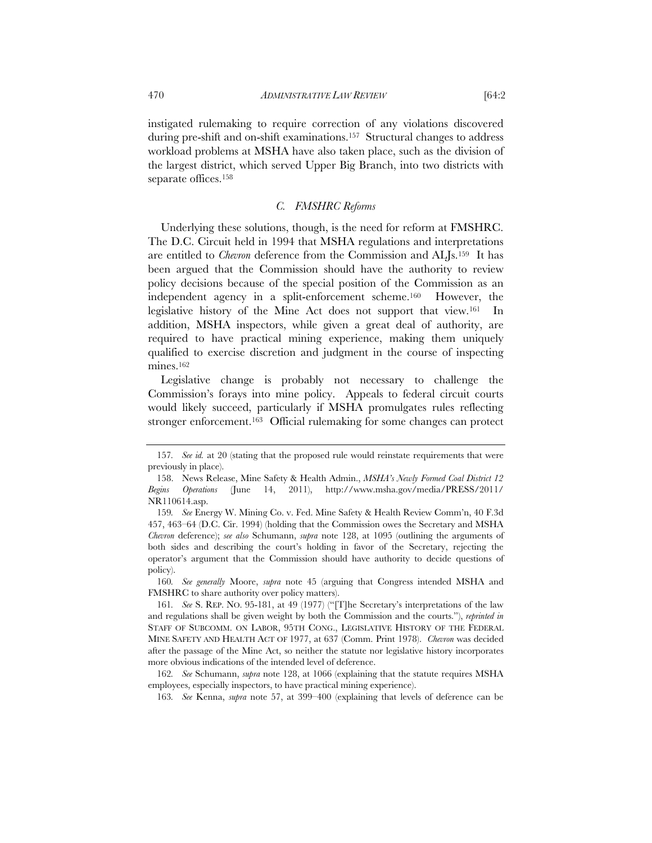instigated rulemaking to require correction of any violations discovered during pre-shift and on-shift examinations.157 Structural changes to address workload problems at MSHA have also taken place, such as the division of the largest district, which served Upper Big Branch, into two districts with separate offices.<sup>158</sup>

# *C. FMSHRC Reforms*

Underlying these solutions, though, is the need for reform at FMSHRC. The D.C. Circuit held in 1994 that MSHA regulations and interpretations are entitled to *Chevron* deference from the Commission and ALJs.159 It has been argued that the Commission should have the authority to review policy decisions because of the special position of the Commission as an independent agency in a split-enforcement scheme.160 However, the legislative history of the Mine Act does not support that view.<sup>161</sup> In addition, MSHA inspectors, while given a great deal of authority, are required to have practical mining experience, making them uniquely qualified to exercise discretion and judgment in the course of inspecting mines.162

Legislative change is probably not necessary to challenge the Commission's forays into mine policy. Appeals to federal circuit courts would likely succeed, particularly if MSHA promulgates rules reflecting stronger enforcement.163 Official rulemaking for some changes can protect

160*. See generally* Moore, *supra* note 45 (arguing that Congress intended MSHA and FMSHRC to share authority over policy matters).

<sup>157</sup>*. See id.* at 20 (stating that the proposed rule would reinstate requirements that were previously in place).

 <sup>158.</sup> News Release, Mine Safety & Health Admin., *MSHA's Newly Formed Coal District 12 Begins Operations* (June 14, 2011), http://www.msha.gov/media/PRESS/2011/ NR110614.asp.

<sup>159</sup>*. See* Energy W. Mining Co. v. Fed. Mine Safety & Health Review Comm'n, 40 F.3d 457, 463–64 (D.C. Cir. 1994) (holding that the Commission owes the Secretary and MSHA *Chevron* deference); *see also* Schumann, *supra* note 128, at 1095 (outlining the arguments of both sides and describing the court's holding in favor of the Secretary, rejecting the operator's argument that the Commission should have authority to decide questions of policy).

<sup>161</sup>*. See* S. REP. NO. 95-181, at 49 (1977) ("[T]he Secretary's interpretations of the law and regulations shall be given weight by both the Commission and the courts."), *reprinted in* STAFF OF SUBCOMM. ON LABOR, 95TH CONG., LEGISLATIVE HISTORY OF THE FEDERAL MINE SAFETY AND HEALTH ACT OF 1977, at 637 (Comm. Print 1978). *Chevron* was decided after the passage of the Mine Act, so neither the statute nor legislative history incorporates more obvious indications of the intended level of deference.

<sup>162</sup>*. See* Schumann, *supra* note 128, at 1066 (explaining that the statute requires MSHA employees, especially inspectors, to have practical mining experience).

<sup>163</sup>*. See* Kenna, *supra* note 57, at 399–400 (explaining that levels of deference can be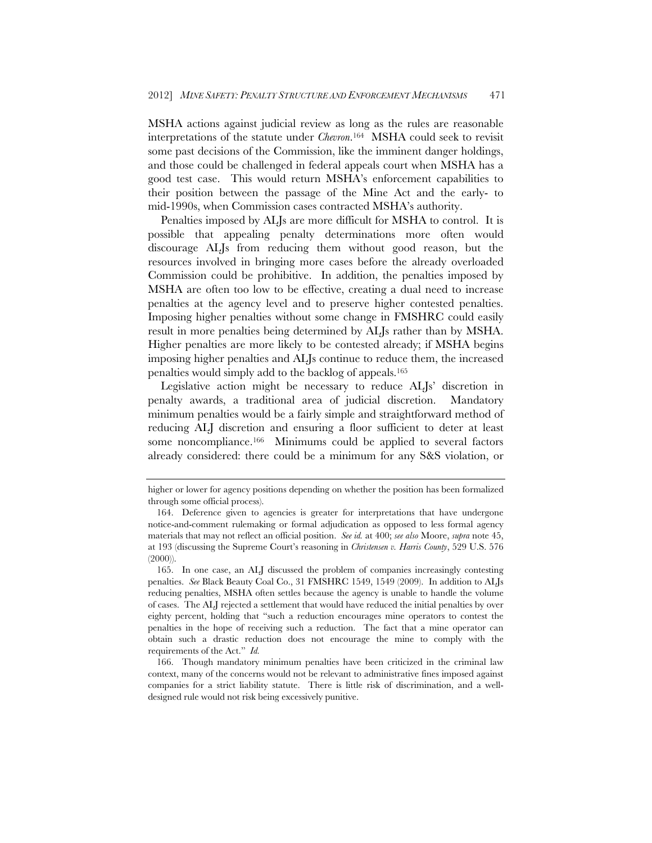MSHA actions against judicial review as long as the rules are reasonable interpretations of the statute under *Chevron*.164 MSHA could seek to revisit some past decisions of the Commission, like the imminent danger holdings, and those could be challenged in federal appeals court when MSHA has a good test case. This would return MSHA's enforcement capabilities to their position between the passage of the Mine Act and the early- to mid-1990s, when Commission cases contracted MSHA's authority.

Penalties imposed by ALJs are more difficult for MSHA to control. It is possible that appealing penalty determinations more often would discourage ALJs from reducing them without good reason, but the resources involved in bringing more cases before the already overloaded Commission could be prohibitive. In addition, the penalties imposed by MSHA are often too low to be effective, creating a dual need to increase penalties at the agency level and to preserve higher contested penalties. Imposing higher penalties without some change in FMSHRC could easily result in more penalties being determined by ALJs rather than by MSHA. Higher penalties are more likely to be contested already; if MSHA begins imposing higher penalties and ALJs continue to reduce them, the increased penalties would simply add to the backlog of appeals.165

Legislative action might be necessary to reduce ALJs' discretion in penalty awards, a traditional area of judicial discretion. Mandatory minimum penalties would be a fairly simple and straightforward method of reducing ALJ discretion and ensuring a floor sufficient to deter at least some noncompliance.166 Minimums could be applied to several factors already considered: there could be a minimum for any S&S violation, or

higher or lower for agency positions depending on whether the position has been formalized through some official process).

 <sup>164.</sup> Deference given to agencies is greater for interpretations that have undergone notice-and-comment rulemaking or formal adjudication as opposed to less formal agency materials that may not reflect an official position. *See id.* at 400; *see also* Moore, *supra* note 45, at 193 (discussing the Supreme Court's reasoning in *Christensen v. Harris County*, 529 U.S. 576  $(2000)$ ).

 <sup>165.</sup> In one case, an ALJ discussed the problem of companies increasingly contesting penalties. *See* Black Beauty Coal Co., 31 FMSHRC 1549, 1549 (2009). In addition to ALJs reducing penalties, MSHA often settles because the agency is unable to handle the volume of cases. The ALJ rejected a settlement that would have reduced the initial penalties by over eighty percent, holding that "such a reduction encourages mine operators to contest the penalties in the hope of receiving such a reduction. The fact that a mine operator can obtain such a drastic reduction does not encourage the mine to comply with the requirements of the Act." *Id.*

 <sup>166.</sup> Though mandatory minimum penalties have been criticized in the criminal law context, many of the concerns would not be relevant to administrative fines imposed against companies for a strict liability statute. There is little risk of discrimination, and a welldesigned rule would not risk being excessively punitive.